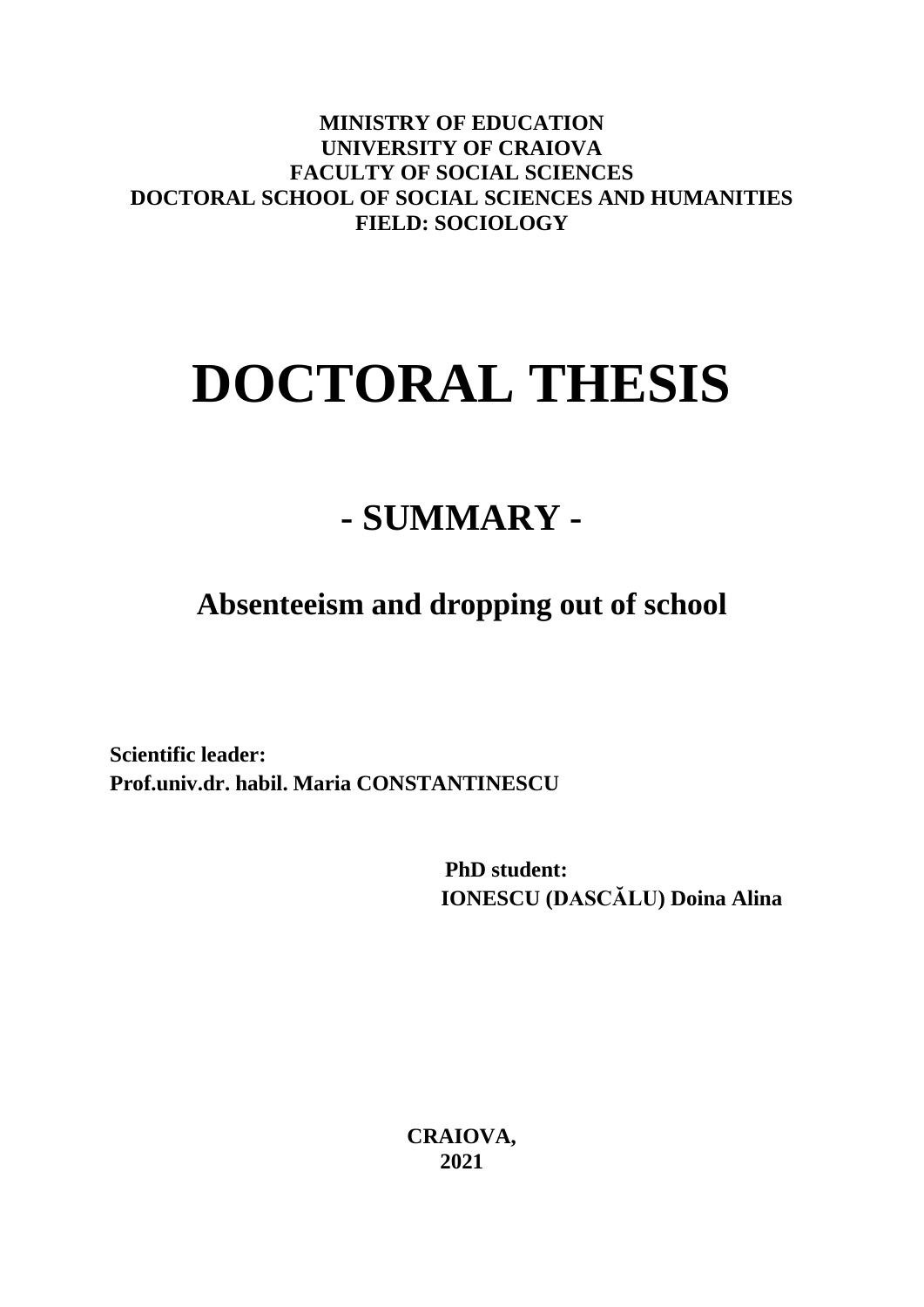**MINISTRY OF EDUCATION UNIVERSITY OF CRAIOVA FACULTY OF SOCIAL SCIENCES DOCTORAL SCHOOL OF SOCIAL SCIENCES AND HUMANITIES FIELD: SOCIOLOGY**

# **DOCTORAL THESIS**

## **- SUMMARY -**

**Absenteeism and dropping out of school**

**Scientific leader: Prof.univ.dr. habil. Maria CONSTANTINESCU**

> **PhD student: IONESCU (DASCĂLU) Doina Alina**

**CRAIOVA, 2021**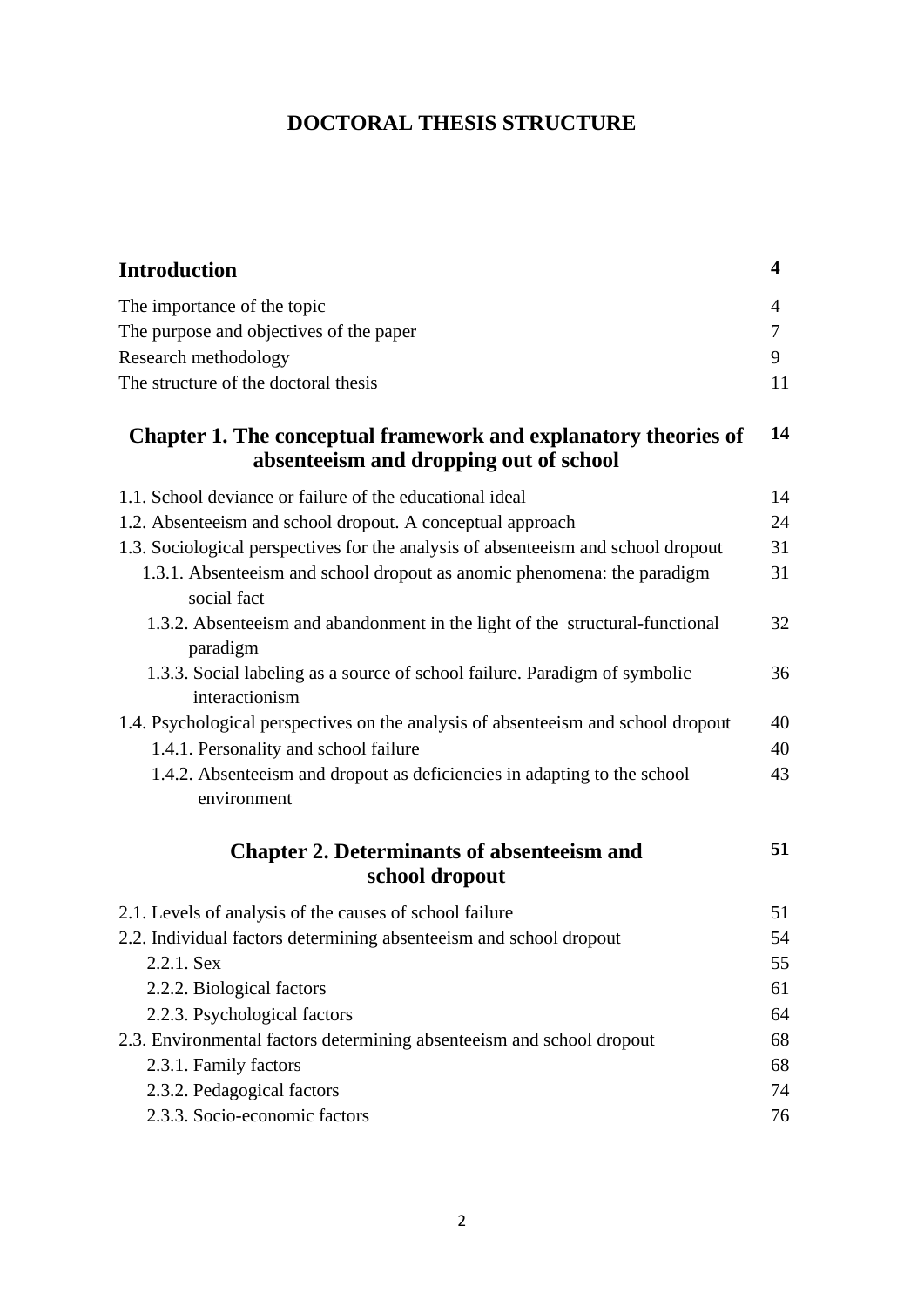## **DOCTORAL THESIS STRUCTURE**

| <b>Introduction</b>                                                                                       | 4  |
|-----------------------------------------------------------------------------------------------------------|----|
| The importance of the topic                                                                               | 4  |
| The purpose and objectives of the paper                                                                   | 7  |
| Research methodology                                                                                      | 9  |
| The structure of the doctoral thesis                                                                      | 11 |
| Chapter 1. The conceptual framework and explanatory theories of<br>absenteeism and dropping out of school | 14 |
| 1.1. School deviance or failure of the educational ideal                                                  | 14 |
| 1.2. Absenteeism and school dropout. A conceptual approach                                                | 24 |
| 1.3. Sociological perspectives for the analysis of absenteeism and school dropout                         | 31 |
| 1.3.1. Absenteeism and school dropout as anomic phenomena: the paradigm<br>social fact                    | 31 |
| 1.3.2. Absenteeism and abandonment in the light of the structural-functional<br>paradigm                  | 32 |
| 1.3.3. Social labeling as a source of school failure. Paradigm of symbolic<br>interactionism              | 36 |
| 1.4. Psychological perspectives on the analysis of absenteeism and school dropout                         | 40 |
| 1.4.1. Personality and school failure                                                                     | 40 |
| 1.4.2. Absenteeism and dropout as deficiencies in adapting to the school<br>environment                   | 43 |
| <b>Chapter 2. Determinants of absenteeism and</b><br>school dropout                                       | 51 |
| 2.1. Levels of analysis of the causes of school failure                                                   | 51 |
| 2.2. Individual factors determining absenteeism and school dropout                                        | 54 |
| 2.2.1. Sex                                                                                                | 55 |
| 2.2.2. Biological factors                                                                                 | 61 |
| 2.2.3. Psychological factors                                                                              | 64 |
| 2.3. Environmental factors determining absenteeism and school dropout                                     | 68 |
| 2.3.1. Family factors                                                                                     | 68 |
| 2.3.2. Pedagogical factors                                                                                | 74 |
| 2.3.3. Socio-economic factors                                                                             | 76 |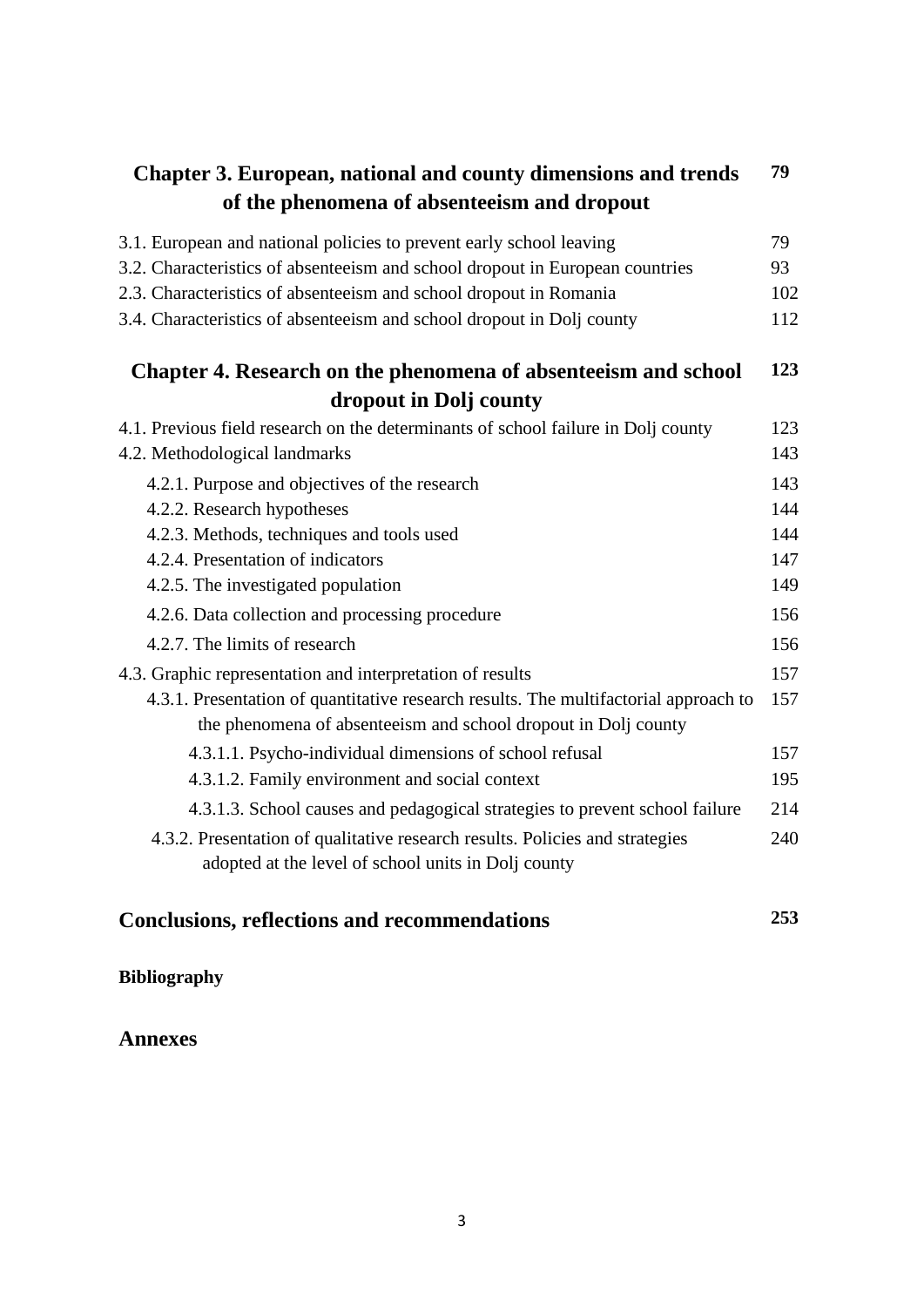| <b>Chapter 3. European, national and county dimensions and trends</b>                                                                                  | 79  |
|--------------------------------------------------------------------------------------------------------------------------------------------------------|-----|
| of the phenomena of absenteeism and dropout                                                                                                            |     |
| 3.1. European and national policies to prevent early school leaving                                                                                    | 79  |
| 3.2. Characteristics of absenteeism and school dropout in European countries                                                                           | 93  |
| 2.3. Characteristics of absenteeism and school dropout in Romania                                                                                      | 102 |
| 3.4. Characteristics of absenteeism and school dropout in Dolj county                                                                                  | 112 |
| Chapter 4. Research on the phenomena of absenteeism and school                                                                                         | 123 |
| dropout in Dolj county                                                                                                                                 |     |
| 4.1. Previous field research on the determinants of school failure in Dolj county                                                                      | 123 |
| 4.2. Methodological landmarks                                                                                                                          | 143 |
| 4.2.1. Purpose and objectives of the research                                                                                                          | 143 |
| 4.2.2. Research hypotheses                                                                                                                             | 144 |
| 4.2.3. Methods, techniques and tools used                                                                                                              | 144 |
| 4.2.4. Presentation of indicators                                                                                                                      | 147 |
| 4.2.5. The investigated population                                                                                                                     | 149 |
| 4.2.6. Data collection and processing procedure                                                                                                        | 156 |
| 4.2.7. The limits of research                                                                                                                          | 156 |
| 4.3. Graphic representation and interpretation of results                                                                                              | 157 |
| 4.3.1. Presentation of quantitative research results. The multifactorial approach to<br>the phenomena of absenteeism and school dropout in Dolj county | 157 |
| 4.3.1.1. Psycho-individual dimensions of school refusal                                                                                                | 157 |
| 4.3.1.2. Family environment and social context                                                                                                         | 195 |
| 4.3.1.3. School causes and pedagogical strategies to prevent school failure                                                                            | 214 |
| 4.3.2. Presentation of qualitative research results. Policies and strategies                                                                           | 240 |
| adopted at the level of school units in Dolj county                                                                                                    |     |
| <b>Conclusions, reflections and recommendations</b>                                                                                                    | 253 |

## **Bibliography**

## **Annexes**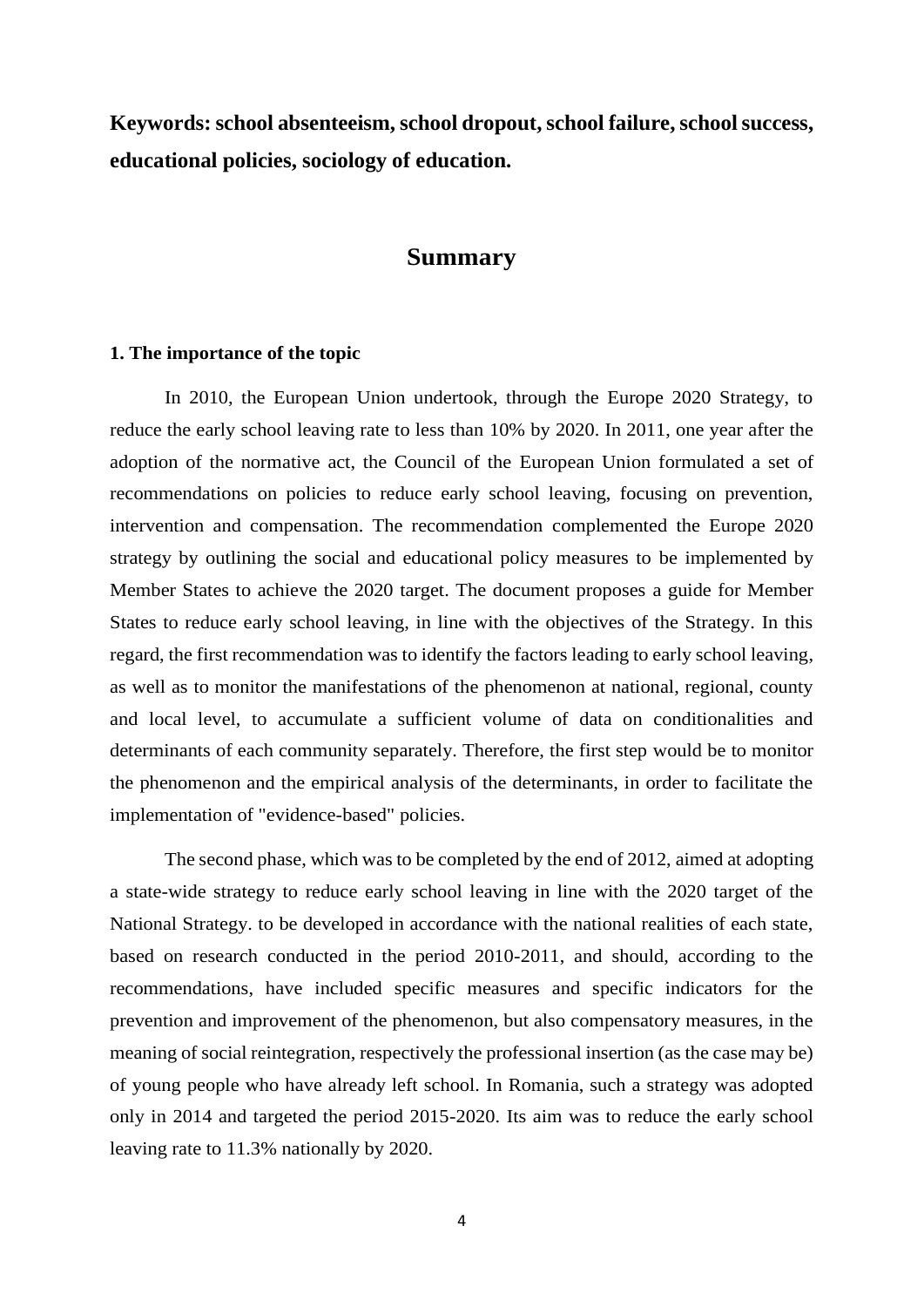**Keywords: school absenteeism, school dropout, school failure, school success, educational policies, sociology of education.**

#### **Summary**

#### **1. The importance of the topic**

In 2010, the European Union undertook, through the Europe 2020 Strategy, to reduce the early school leaving rate to less than 10% by 2020. In 2011, one year after the adoption of the normative act, the Council of the European Union formulated a set of recommendations on policies to reduce early school leaving, focusing on prevention, intervention and compensation. The recommendation complemented the Europe 2020 strategy by outlining the social and educational policy measures to be implemented by Member States to achieve the 2020 target. The document proposes a guide for Member States to reduce early school leaving, in line with the objectives of the Strategy. In this regard, the first recommendation was to identify the factors leading to early school leaving, as well as to monitor the manifestations of the phenomenon at national, regional, county and local level, to accumulate a sufficient volume of data on conditionalities and determinants of each community separately. Therefore, the first step would be to monitor the phenomenon and the empirical analysis of the determinants, in order to facilitate the implementation of "evidence-based" policies.

The second phase, which was to be completed by the end of 2012, aimed at adopting a state-wide strategy to reduce early school leaving in line with the 2020 target of the National Strategy. to be developed in accordance with the national realities of each state, based on research conducted in the period 2010-2011, and should, according to the recommendations, have included specific measures and specific indicators for the prevention and improvement of the phenomenon, but also compensatory measures, in the meaning of social reintegration, respectively the professional insertion (as the case may be) of young people who have already left school. In Romania, such a strategy was adopted only in 2014 and targeted the period 2015-2020. Its aim was to reduce the early school leaving rate to 11.3% nationally by 2020.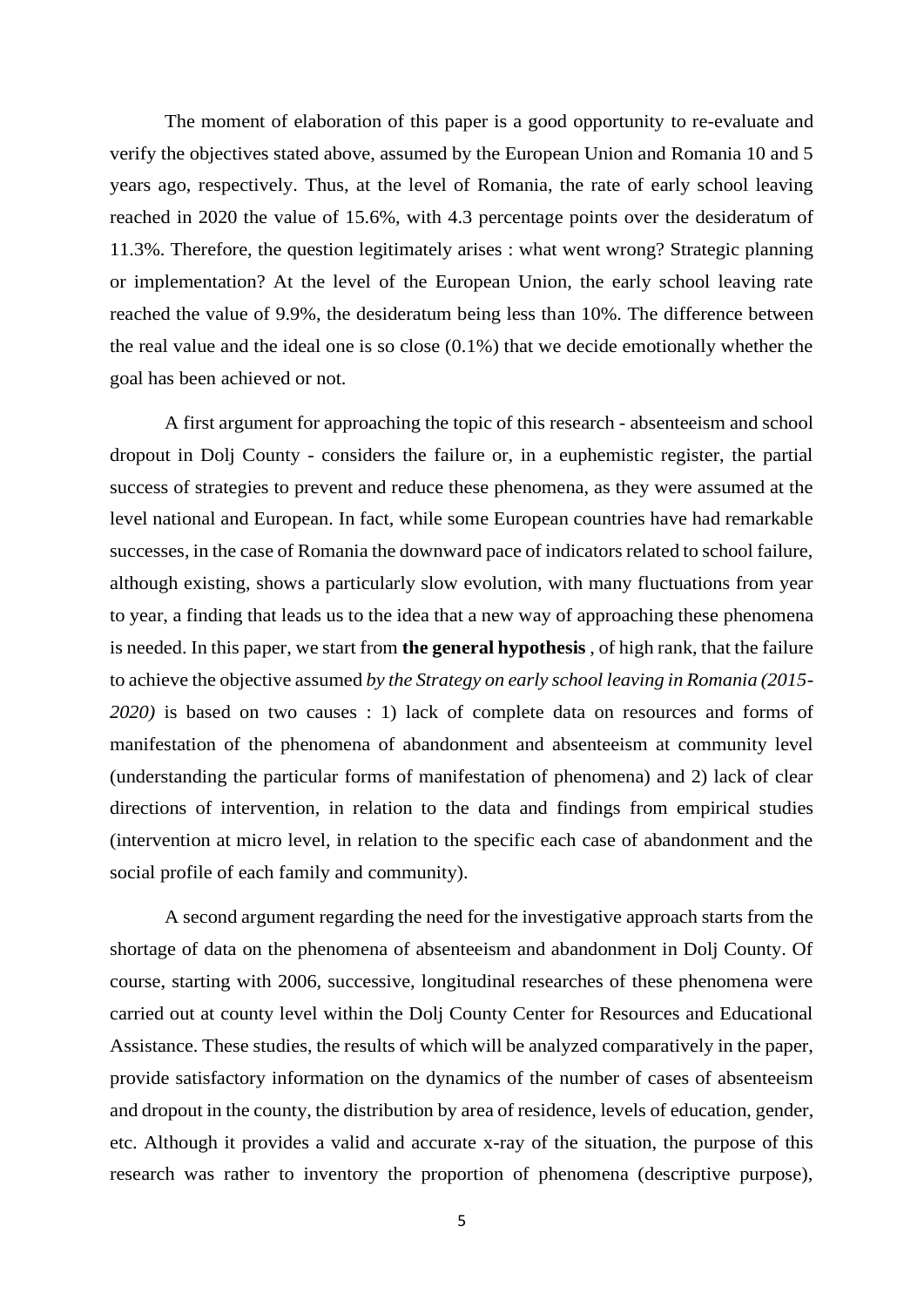The moment of elaboration of this paper is a good opportunity to re-evaluate and verify the objectives stated above, assumed by the European Union and Romania 10 and 5 years ago, respectively. Thus, at the level of Romania, the rate of early school leaving reached in 2020 the value of 15.6%, with 4.3 percentage points over the desideratum of 11.3%. Therefore, the question legitimately arises : what went wrong? Strategic planning or implementation? At the level of the European Union, the early school leaving rate reached the value of 9.9%, the desideratum being less than 10%. The difference between the real value and the ideal one is so close (0.1%) that we decide emotionally whether the goal has been achieved or not.

A first argument for approaching the topic of this research - absenteeism and school dropout in Dolj County - considers the failure or, in a euphemistic register, the partial success of strategies to prevent and reduce these phenomena, as they were assumed at the level national and European. In fact, while some European countries have had remarkable successes, in the case of Romania the downward pace of indicators related to school failure, although existing, shows a particularly slow evolution, with many fluctuations from year to year, a finding that leads us to the idea that a new way of approaching these phenomena is needed. In this paper, we start from **the general hypothesis** , of high rank, that the failure to achieve the objective assumed *by the Strategy on early school leaving in Romania (2015- 2020)* is based on two causes : 1) lack of complete data on resources and forms of manifestation of the phenomena of abandonment and absenteeism at community level (understanding the particular forms of manifestation of phenomena) and 2) lack of clear directions of intervention, in relation to the data and findings from empirical studies (intervention at micro level, in relation to the specific each case of abandonment and the social profile of each family and community).

A second argument regarding the need for the investigative approach starts from the shortage of data on the phenomena of absenteeism and abandonment in Dolj County. Of course, starting with 2006, successive, longitudinal researches of these phenomena were carried out at county level within the Dolj County Center for Resources and Educational Assistance. These studies, the results of which will be analyzed comparatively in the paper, provide satisfactory information on the dynamics of the number of cases of absenteeism and dropout in the county, the distribution by area of residence, levels of education, gender, etc. Although it provides a valid and accurate x-ray of the situation, the purpose of this research was rather to inventory the proportion of phenomena (descriptive purpose),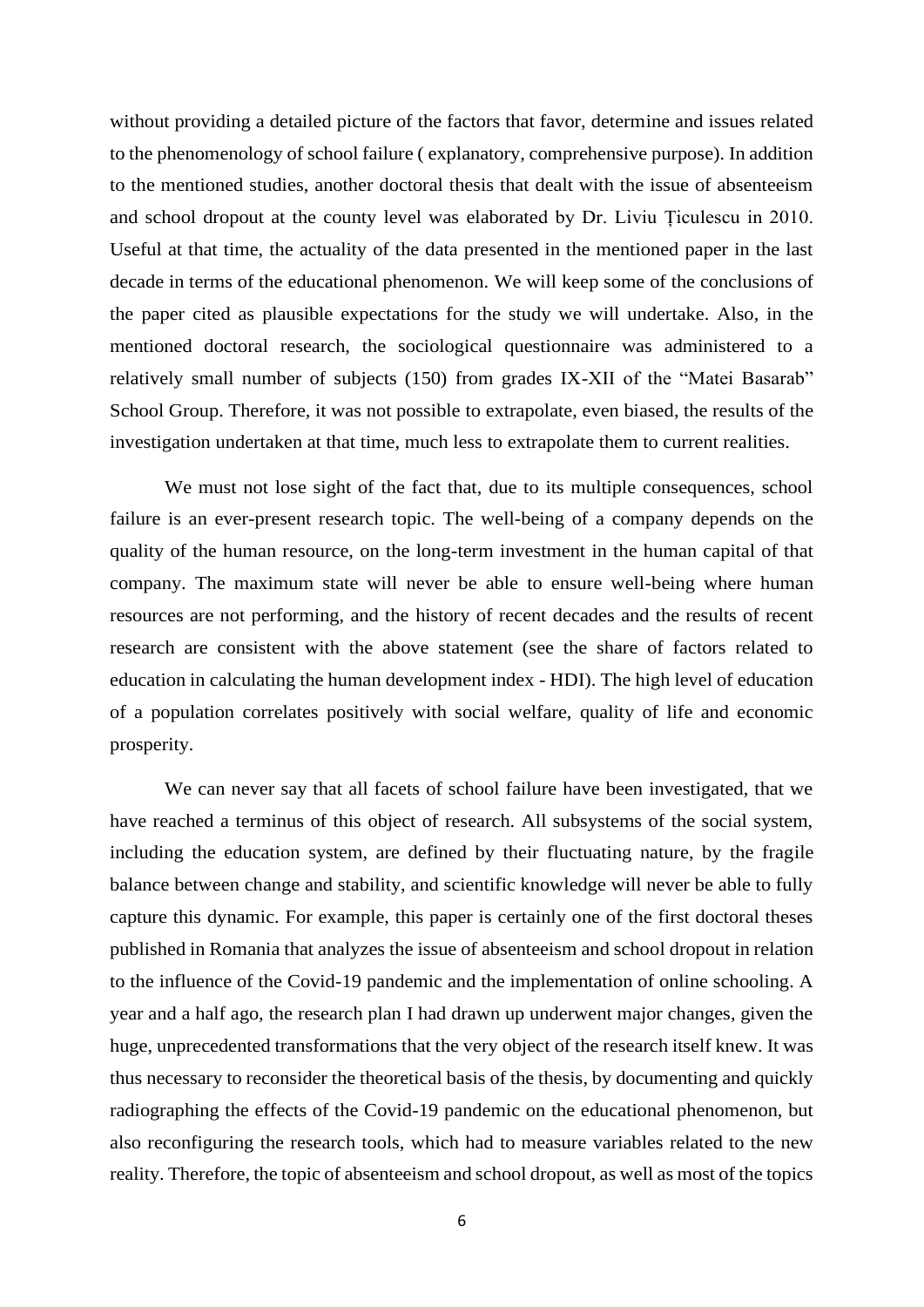without providing a detailed picture of the factors that favor, determine and issues related to the phenomenology of school failure ( explanatory, comprehensive purpose). In addition to the mentioned studies, another doctoral thesis that dealt with the issue of absenteeism and school dropout at the county level was elaborated by Dr. Liviu Țiculescu in 2010. Useful at that time, the actuality of the data presented in the mentioned paper in the last decade in terms of the educational phenomenon. We will keep some of the conclusions of the paper cited as plausible expectations for the study we will undertake. Also, in the mentioned doctoral research, the sociological questionnaire was administered to a relatively small number of subjects (150) from grades IX-XII of the "Matei Basarab" School Group. Therefore, it was not possible to extrapolate, even biased, the results of the investigation undertaken at that time, much less to extrapolate them to current realities.

We must not lose sight of the fact that, due to its multiple consequences, school failure is an ever-present research topic. The well-being of a company depends on the quality of the human resource, on the long-term investment in the human capital of that company. The maximum state will never be able to ensure well-being where human resources are not performing, and the history of recent decades and the results of recent research are consistent with the above statement (see the share of factors related to education in calculating the human development index - HDI). The high level of education of a population correlates positively with social welfare, quality of life and economic prosperity.

We can never say that all facets of school failure have been investigated, that we have reached a terminus of this object of research. All subsystems of the social system, including the education system, are defined by their fluctuating nature, by the fragile balance between change and stability, and scientific knowledge will never be able to fully capture this dynamic. For example, this paper is certainly one of the first doctoral theses published in Romania that analyzes the issue of absenteeism and school dropout in relation to the influence of the Covid-19 pandemic and the implementation of online schooling. A year and a half ago, the research plan I had drawn up underwent major changes, given the huge, unprecedented transformations that the very object of the research itself knew. It was thus necessary to reconsider the theoretical basis of the thesis, by documenting and quickly radiographing the effects of the Covid-19 pandemic on the educational phenomenon, but also reconfiguring the research tools, which had to measure variables related to the new reality. Therefore, the topic of absenteeism and school dropout, as well as most of the topics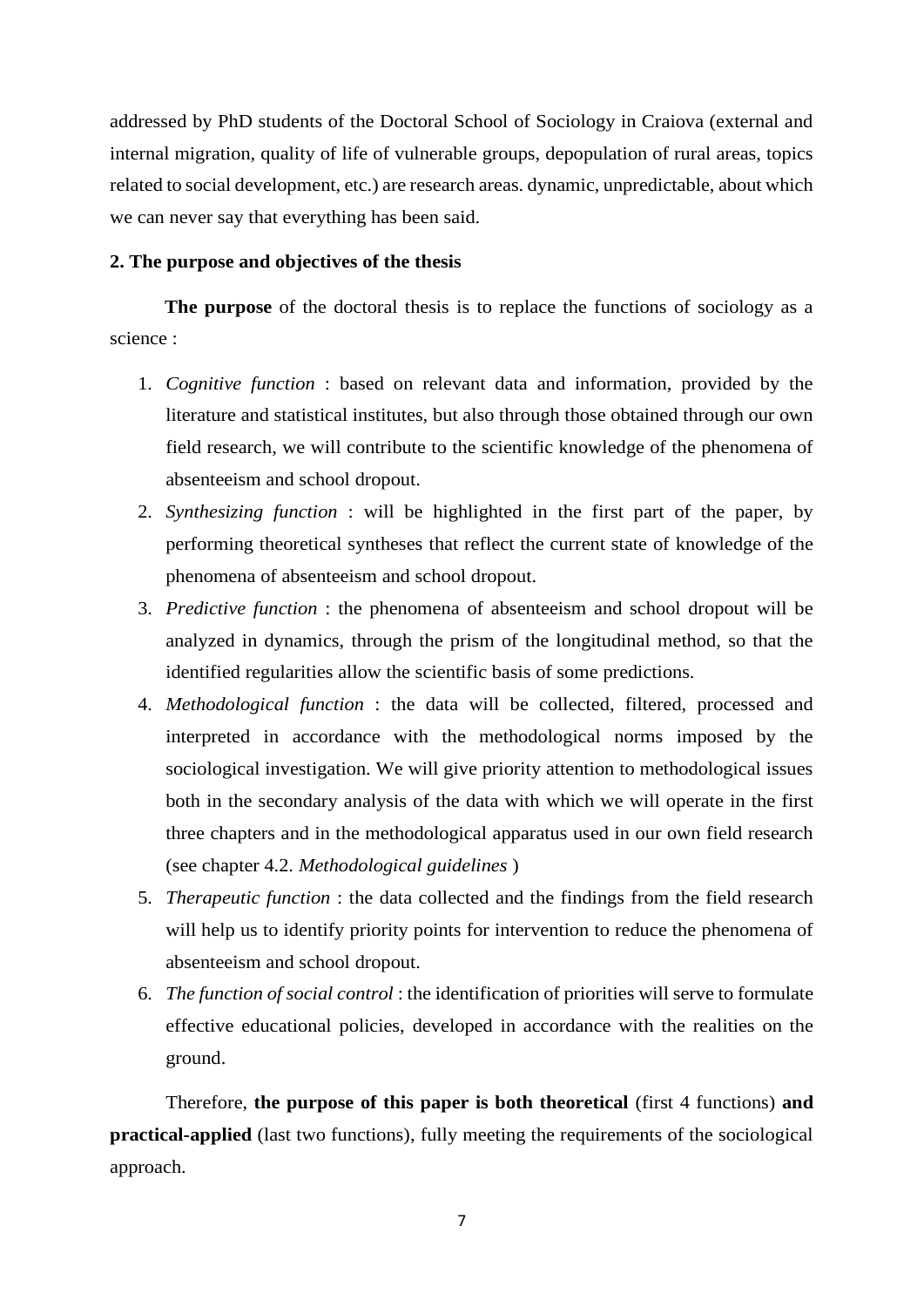addressed by PhD students of the Doctoral School of Sociology in Craiova (external and internal migration, quality of life of vulnerable groups, depopulation of rural areas, topics related to social development, etc.) are research areas. dynamic, unpredictable, about which we can never say that everything has been said.

#### **2. The purpose and objectives of the thesis**

**The purpose** of the doctoral thesis is to replace the functions of sociology as a science :

- 1. *Cognitive function* : based on relevant data and information, provided by the literature and statistical institutes, but also through those obtained through our own field research, we will contribute to the scientific knowledge of the phenomena of absenteeism and school dropout.
- 2. *Synthesizing function* : will be highlighted in the first part of the paper, by performing theoretical syntheses that reflect the current state of knowledge of the phenomena of absenteeism and school dropout.
- 3. *Predictive function* : the phenomena of absenteeism and school dropout will be analyzed in dynamics, through the prism of the longitudinal method, so that the identified regularities allow the scientific basis of some predictions.
- 4. *Methodological function* : the data will be collected, filtered, processed and interpreted in accordance with the methodological norms imposed by the sociological investigation. We will give priority attention to methodological issues both in the secondary analysis of the data with which we will operate in the first three chapters and in the methodological apparatus used in our own field research (see chapter 4.2. *Methodological guidelines* )
- 5. *Therapeutic function* : the data collected and the findings from the field research will help us to identify priority points for intervention to reduce the phenomena of absenteeism and school dropout.
- 6. *The function of social control* : the identification of priorities will serve to formulate effective educational policies, developed in accordance with the realities on the ground.

Therefore, **the purpose of this paper is both theoretical** (first 4 functions) **and practical-applied** (last two functions), fully meeting the requirements of the sociological approach.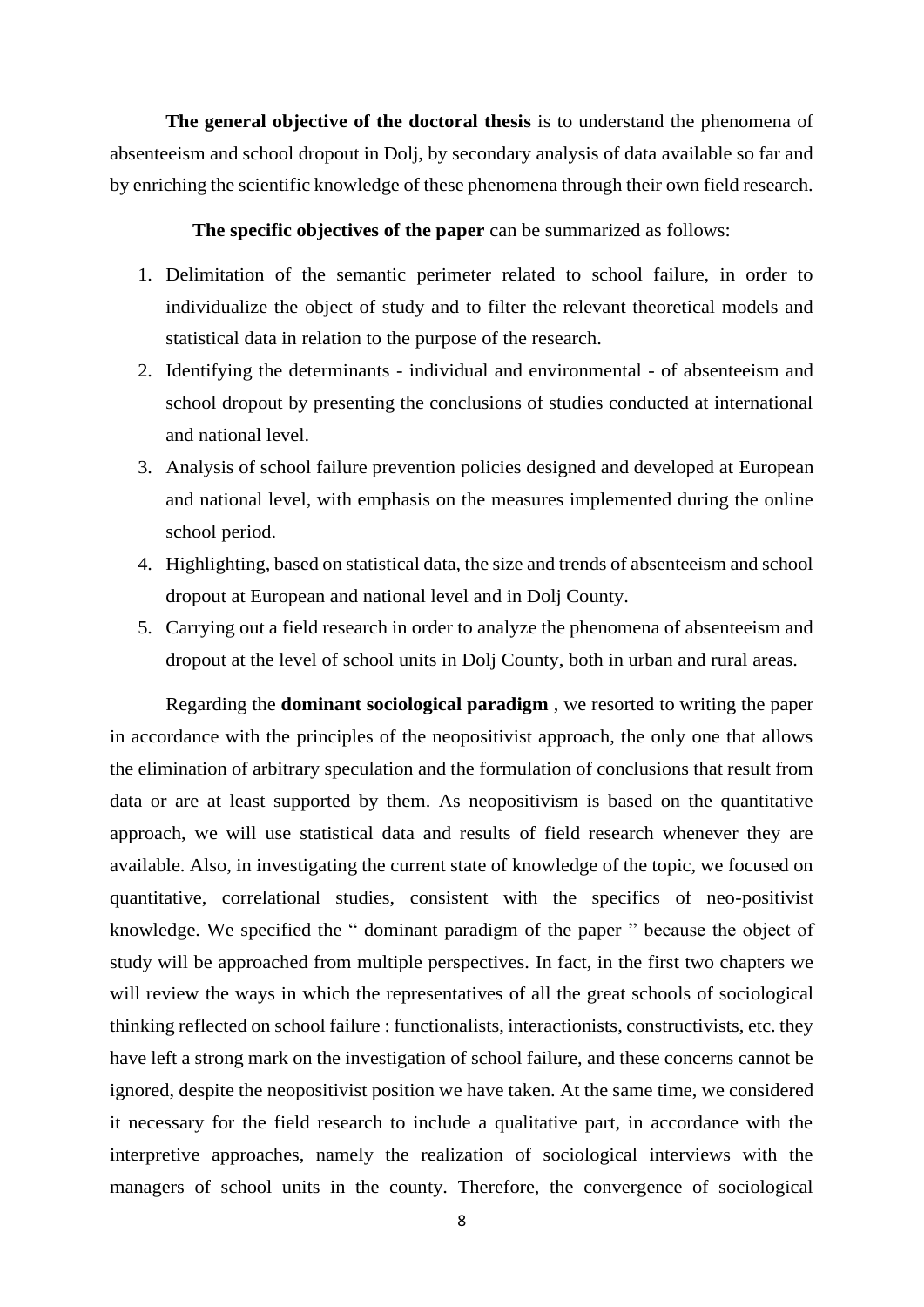**The general objective of the doctoral thesis** is to understand the phenomena of absenteeism and school dropout in Dolj, by secondary analysis of data available so far and by enriching the scientific knowledge of these phenomena through their own field research.

#### **The specific objectives of the paper** can be summarized as follows:

- 1. Delimitation of the semantic perimeter related to school failure, in order to individualize the object of study and to filter the relevant theoretical models and statistical data in relation to the purpose of the research.
- 2. Identifying the determinants individual and environmental of absenteeism and school dropout by presenting the conclusions of studies conducted at international and national level.
- 3. Analysis of school failure prevention policies designed and developed at European and national level, with emphasis on the measures implemented during the online school period.
- 4. Highlighting, based on statistical data, the size and trends of absenteeism and school dropout at European and national level and in Dolj County.
- 5. Carrying out a field research in order to analyze the phenomena of absenteeism and dropout at the level of school units in Dolj County, both in urban and rural areas.

Regarding the **dominant sociological paradigm** , we resorted to writing the paper in accordance with the principles of the neopositivist approach, the only one that allows the elimination of arbitrary speculation and the formulation of conclusions that result from data or are at least supported by them. As neopositivism is based on the quantitative approach, we will use statistical data and results of field research whenever they are available. Also, in investigating the current state of knowledge of the topic, we focused on quantitative, correlational studies, consistent with the specifics of neo-positivist knowledge. We specified the " dominant paradigm of the paper " because the object of study will be approached from multiple perspectives. In fact, in the first two chapters we will review the ways in which the representatives of all the great schools of sociological thinking reflected on school failure : functionalists, interactionists, constructivists, etc. they have left a strong mark on the investigation of school failure, and these concerns cannot be ignored, despite the neopositivist position we have taken. At the same time, we considered it necessary for the field research to include a qualitative part, in accordance with the interpretive approaches, namely the realization of sociological interviews with the managers of school units in the county. Therefore, the convergence of sociological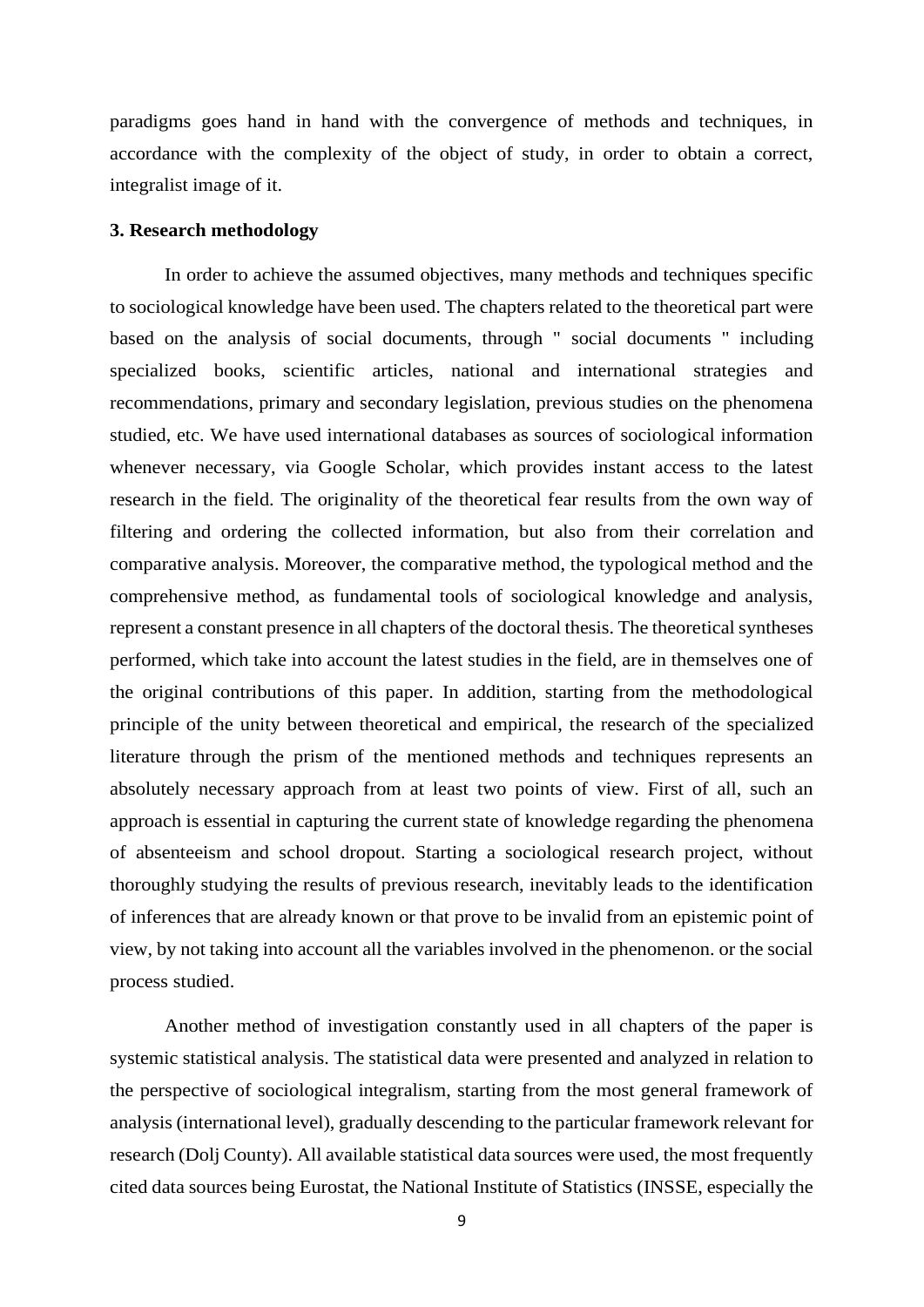paradigms goes hand in hand with the convergence of methods and techniques, in accordance with the complexity of the object of study, in order to obtain a correct, integralist image of it.

#### **3. Research methodology**

In order to achieve the assumed objectives, many methods and techniques specific to sociological knowledge have been used. The chapters related to the theoretical part were based on the analysis of social documents, through " social documents " including specialized books, scientific articles, national and international strategies and recommendations, primary and secondary legislation, previous studies on the phenomena studied, etc. We have used international databases as sources of sociological information whenever necessary, via Google Scholar, which provides instant access to the latest research in the field. The originality of the theoretical fear results from the own way of filtering and ordering the collected information, but also from their correlation and comparative analysis. Moreover, the comparative method, the typological method and the comprehensive method, as fundamental tools of sociological knowledge and analysis, represent a constant presence in all chapters of the doctoral thesis. The theoretical syntheses performed, which take into account the latest studies in the field, are in themselves one of the original contributions of this paper. In addition, starting from the methodological principle of the unity between theoretical and empirical, the research of the specialized literature through the prism of the mentioned methods and techniques represents an absolutely necessary approach from at least two points of view. First of all, such an approach is essential in capturing the current state of knowledge regarding the phenomena of absenteeism and school dropout. Starting a sociological research project, without thoroughly studying the results of previous research, inevitably leads to the identification of inferences that are already known or that prove to be invalid from an epistemic point of view, by not taking into account all the variables involved in the phenomenon. or the social process studied.

Another method of investigation constantly used in all chapters of the paper is systemic statistical analysis. The statistical data were presented and analyzed in relation to the perspective of sociological integralism, starting from the most general framework of analysis (international level), gradually descending to the particular framework relevant for research (Dolj County). All available statistical data sources were used, the most frequently cited data sources being Eurostat, the National Institute of Statistics (INSSE, especially the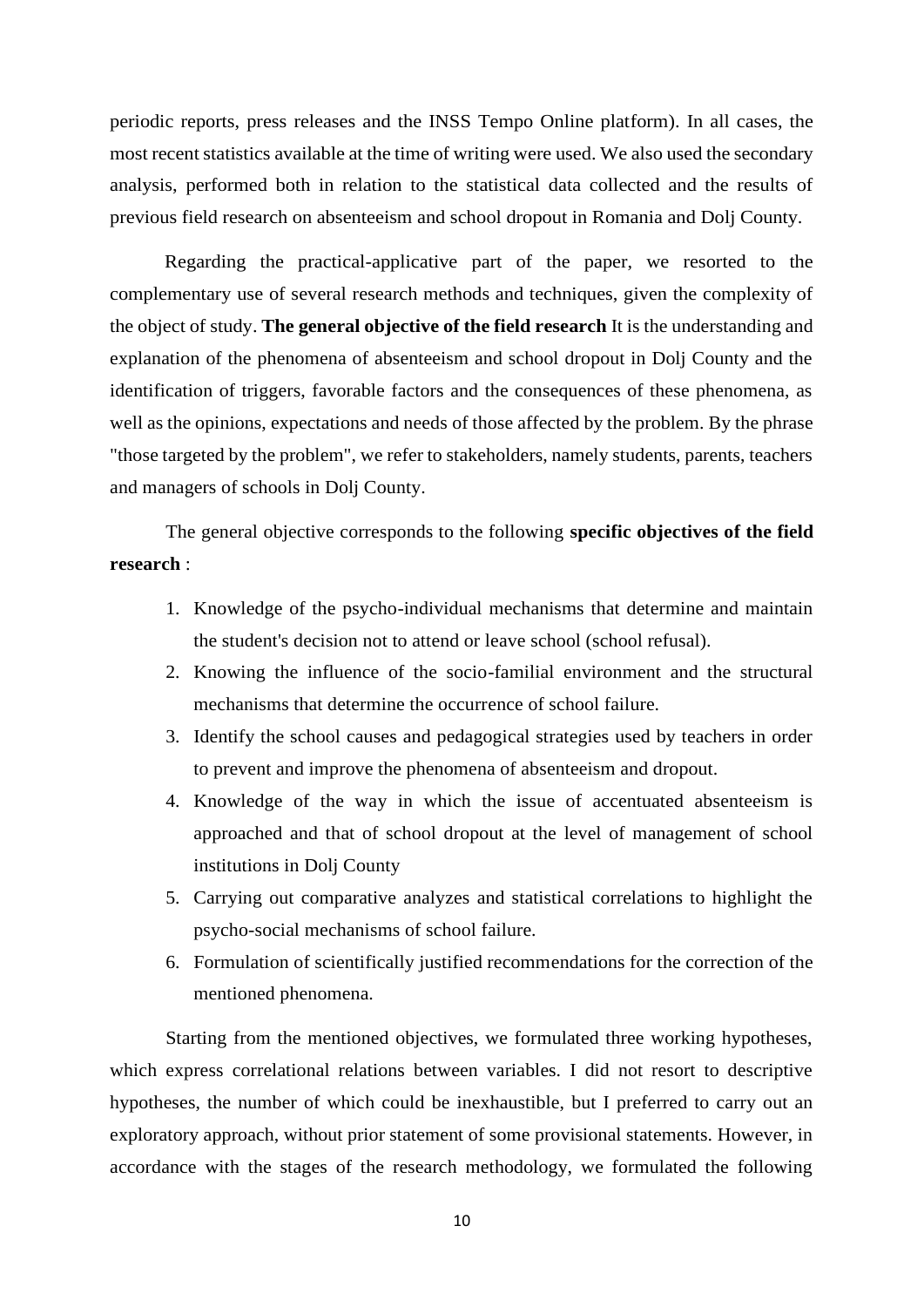periodic reports, press releases and the INSS Tempo Online platform). In all cases, the most recent statistics available at the time of writing were used. We also used the secondary analysis, performed both in relation to the statistical data collected and the results of previous field research on absenteeism and school dropout in Romania and Dolj County.

Regarding the practical-applicative part of the paper, we resorted to the complementary use of several research methods and techniques, given the complexity of the object of study. **The general objective of the field research** It is the understanding and explanation of the phenomena of absenteeism and school dropout in Dolj County and the identification of triggers, favorable factors and the consequences of these phenomena, as well as the opinions, expectations and needs of those affected by the problem. By the phrase "those targeted by the problem", we refer to stakeholders, namely students, parents, teachers and managers of schools in Dolj County.

The general objective corresponds to the following **specific objectives of the field research** :

- 1. Knowledge of the psycho-individual mechanisms that determine and maintain the student's decision not to attend or leave school (school refusal).
- 2. Knowing the influence of the socio-familial environment and the structural mechanisms that determine the occurrence of school failure.
- 3. Identify the school causes and pedagogical strategies used by teachers in order to prevent and improve the phenomena of absenteeism and dropout.
- 4. Knowledge of the way in which the issue of accentuated absenteeism is approached and that of school dropout at the level of management of school institutions in Dolj County
- 5. Carrying out comparative analyzes and statistical correlations to highlight the psycho-social mechanisms of school failure.
- 6. Formulation of scientifically justified recommendations for the correction of the mentioned phenomena.

Starting from the mentioned objectives, we formulated three working hypotheses, which express correlational relations between variables. I did not resort to descriptive hypotheses, the number of which could be inexhaustible, but I preferred to carry out an exploratory approach, without prior statement of some provisional statements. However, in accordance with the stages of the research methodology, we formulated the following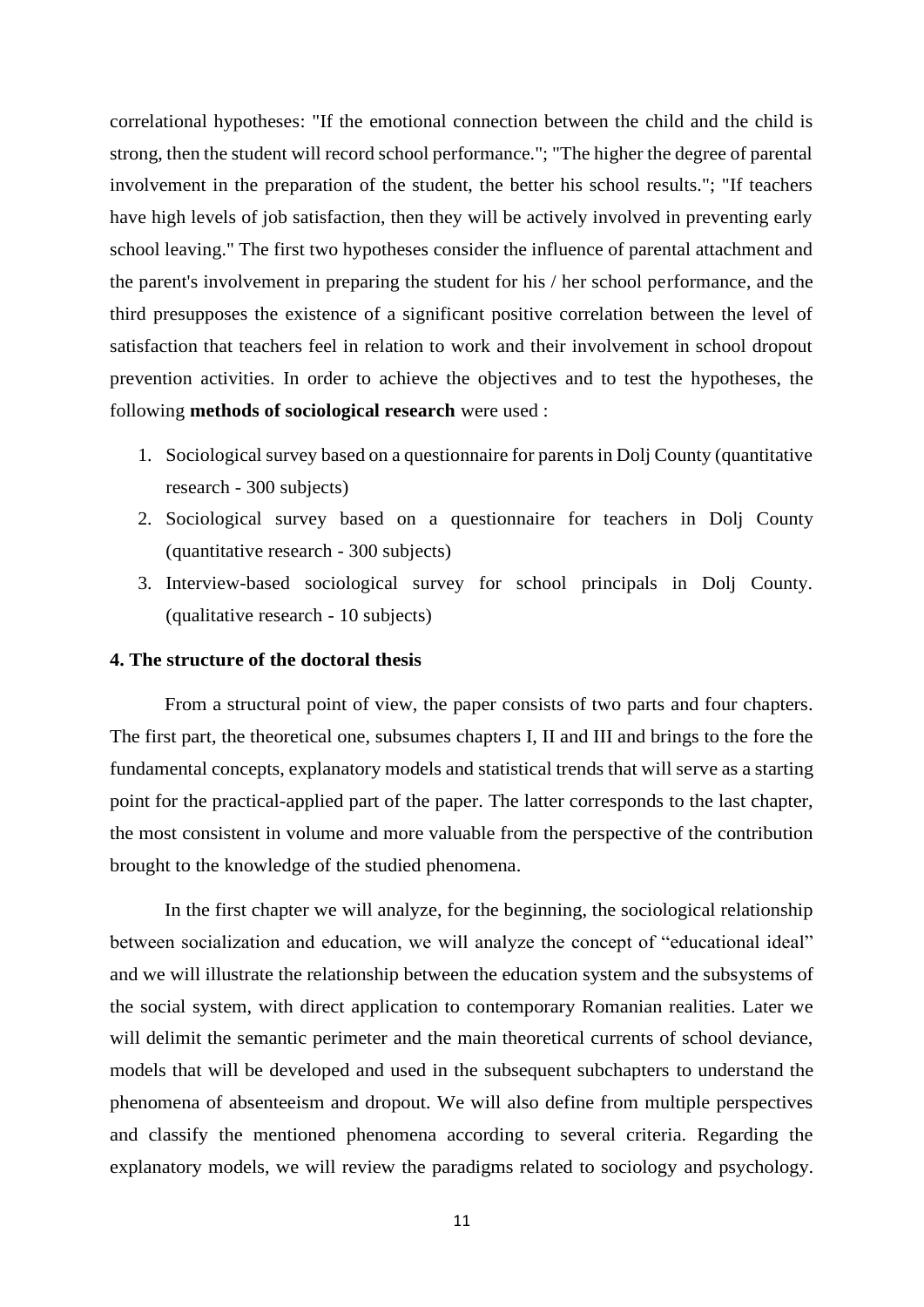correlational hypotheses: "If the emotional connection between the child and the child is strong, then the student will record school performance."; "The higher the degree of parental involvement in the preparation of the student, the better his school results."; "If teachers have high levels of job satisfaction, then they will be actively involved in preventing early school leaving." The first two hypotheses consider the influence of parental attachment and the parent's involvement in preparing the student for his / her school performance, and the third presupposes the existence of a significant positive correlation between the level of satisfaction that teachers feel in relation to work and their involvement in school dropout prevention activities. In order to achieve the objectives and to test the hypotheses, the following **methods of sociological research** were used :

- 1. Sociological survey based on a questionnaire for parents in Dolj County (quantitative research - 300 subjects)
- 2. Sociological survey based on a questionnaire for teachers in Dolj County (quantitative research - 300 subjects)
- 3. Interview-based sociological survey for school principals in Dolj County. (qualitative research - 10 subjects)

#### **4. The structure of the doctoral thesis**

From a structural point of view, the paper consists of two parts and four chapters. The first part, the theoretical one, subsumes chapters I, II and III and brings to the fore the fundamental concepts, explanatory models and statistical trends that will serve as a starting point for the practical-applied part of the paper. The latter corresponds to the last chapter, the most consistent in volume and more valuable from the perspective of the contribution brought to the knowledge of the studied phenomena.

In the first chapter we will analyze, for the beginning, the sociological relationship between socialization and education, we will analyze the concept of "educational ideal" and we will illustrate the relationship between the education system and the subsystems of the social system, with direct application to contemporary Romanian realities. Later we will delimit the semantic perimeter and the main theoretical currents of school deviance, models that will be developed and used in the subsequent subchapters to understand the phenomena of absenteeism and dropout. We will also define from multiple perspectives and classify the mentioned phenomena according to several criteria. Regarding the explanatory models, we will review the paradigms related to sociology and psychology.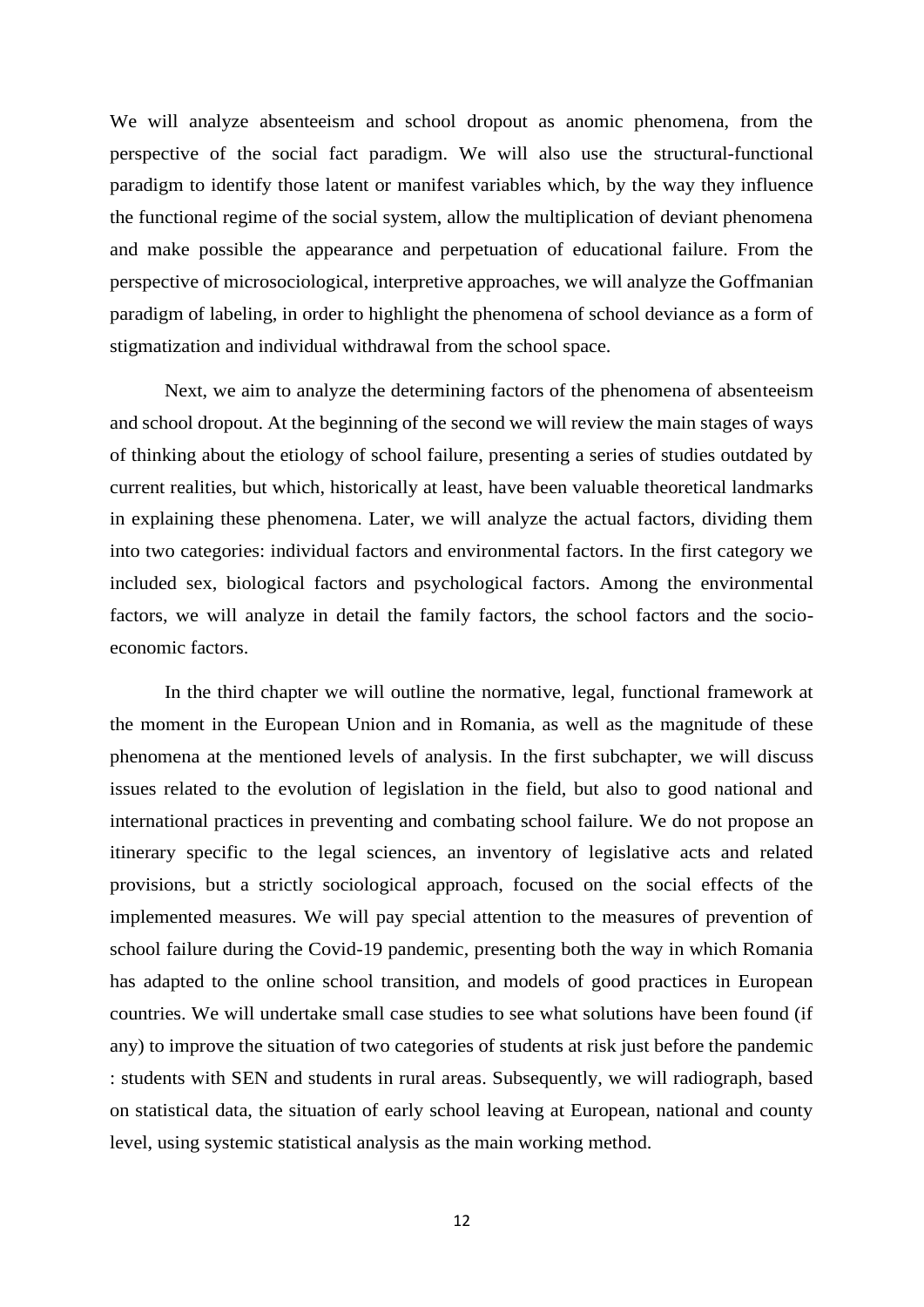We will analyze absenteeism and school dropout as anomic phenomena, from the perspective of the social fact paradigm. We will also use the structural-functional paradigm to identify those latent or manifest variables which, by the way they influence the functional regime of the social system, allow the multiplication of deviant phenomena and make possible the appearance and perpetuation of educational failure. From the perspective of microsociological, interpretive approaches, we will analyze the Goffmanian paradigm of labeling, in order to highlight the phenomena of school deviance as a form of stigmatization and individual withdrawal from the school space.

Next, we aim to analyze the determining factors of the phenomena of absenteeism and school dropout. At the beginning of the second we will review the main stages of ways of thinking about the etiology of school failure, presenting a series of studies outdated by current realities, but which, historically at least, have been valuable theoretical landmarks in explaining these phenomena. Later, we will analyze the actual factors, dividing them into two categories: individual factors and environmental factors. In the first category we included sex, biological factors and psychological factors. Among the environmental factors, we will analyze in detail the family factors, the school factors and the socioeconomic factors.

In the third chapter we will outline the normative, legal, functional framework at the moment in the European Union and in Romania, as well as the magnitude of these phenomena at the mentioned levels of analysis. In the first subchapter, we will discuss issues related to the evolution of legislation in the field, but also to good national and international practices in preventing and combating school failure. We do not propose an itinerary specific to the legal sciences, an inventory of legislative acts and related provisions, but a strictly sociological approach, focused on the social effects of the implemented measures. We will pay special attention to the measures of prevention of school failure during the Covid-19 pandemic, presenting both the way in which Romania has adapted to the online school transition, and models of good practices in European countries. We will undertake small case studies to see what solutions have been found (if any) to improve the situation of two categories of students at risk just before the pandemic : students with SEN and students in rural areas. Subsequently, we will radiograph, based on statistical data, the situation of early school leaving at European, national and county level, using systemic statistical analysis as the main working method.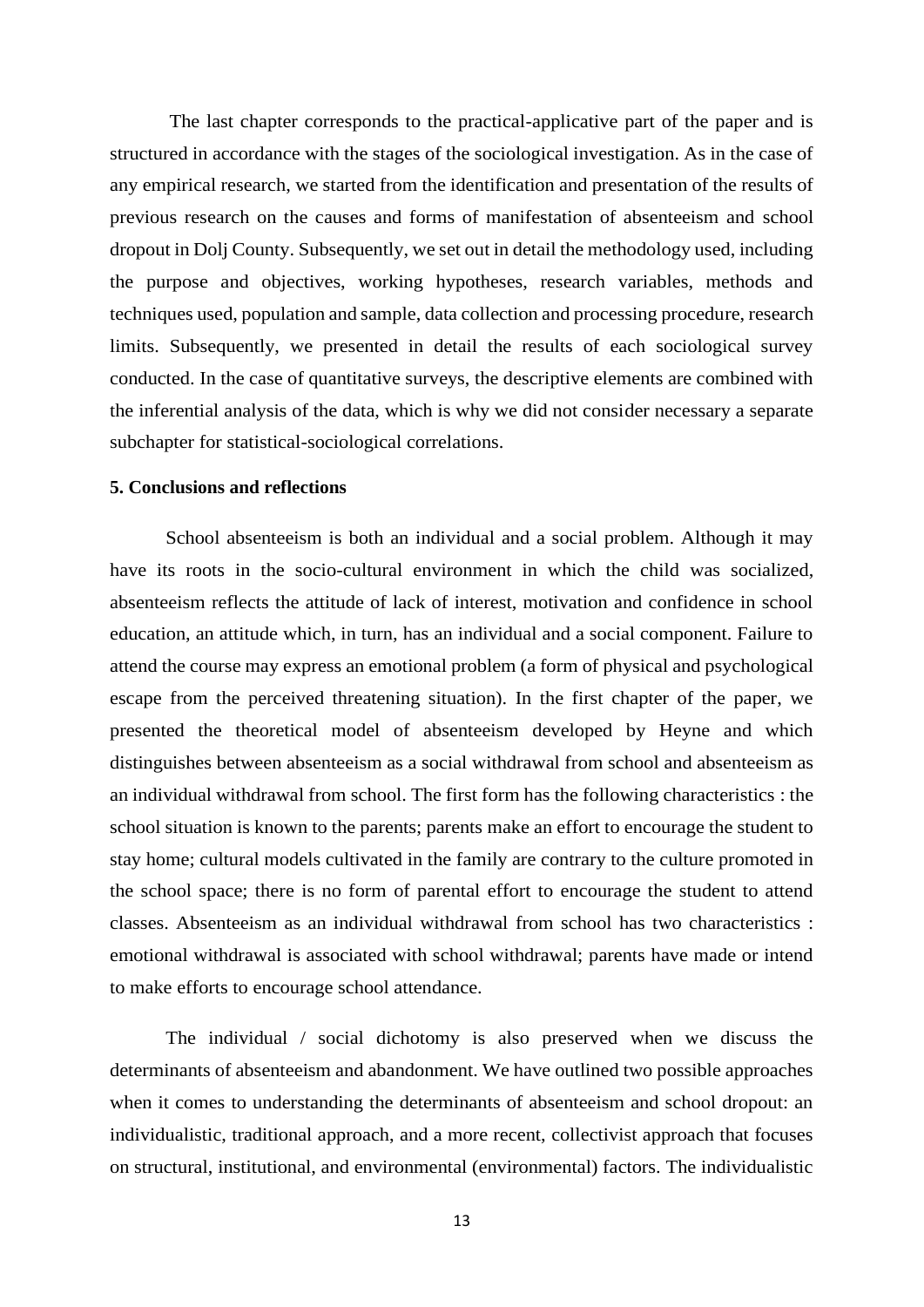The last chapter corresponds to the practical-applicative part of the paper and is structured in accordance with the stages of the sociological investigation. As in the case of any empirical research, we started from the identification and presentation of the results of previous research on the causes and forms of manifestation of absenteeism and school dropout in Dolj County. Subsequently, we set out in detail the methodology used, including the purpose and objectives, working hypotheses, research variables, methods and techniques used, population and sample, data collection and processing procedure, research limits. Subsequently, we presented in detail the results of each sociological survey conducted. In the case of quantitative surveys, the descriptive elements are combined with the inferential analysis of the data, which is why we did not consider necessary a separate subchapter for statistical-sociological correlations.

#### **5. Conclusions and reflections**

School absenteeism is both an individual and a social problem. Although it may have its roots in the socio-cultural environment in which the child was socialized, absenteeism reflects the attitude of lack of interest, motivation and confidence in school education, an attitude which, in turn, has an individual and a social component. Failure to attend the course may express an emotional problem (a form of physical and psychological escape from the perceived threatening situation). In the first chapter of the paper, we presented the theoretical model of absenteeism developed by Heyne and which distinguishes between absenteeism as a social withdrawal from school and absenteeism as an individual withdrawal from school. The first form has the following characteristics : the school situation is known to the parents; parents make an effort to encourage the student to stay home; cultural models cultivated in the family are contrary to the culture promoted in the school space; there is no form of parental effort to encourage the student to attend classes. Absenteeism as an individual withdrawal from school has two characteristics : emotional withdrawal is associated with school withdrawal; parents have made or intend to make efforts to encourage school attendance.

The individual / social dichotomy is also preserved when we discuss the determinants of absenteeism and abandonment. We have outlined two possible approaches when it comes to understanding the determinants of absenteeism and school dropout: an individualistic, traditional approach, and a more recent, collectivist approach that focuses on structural, institutional, and environmental (environmental) factors. The individualistic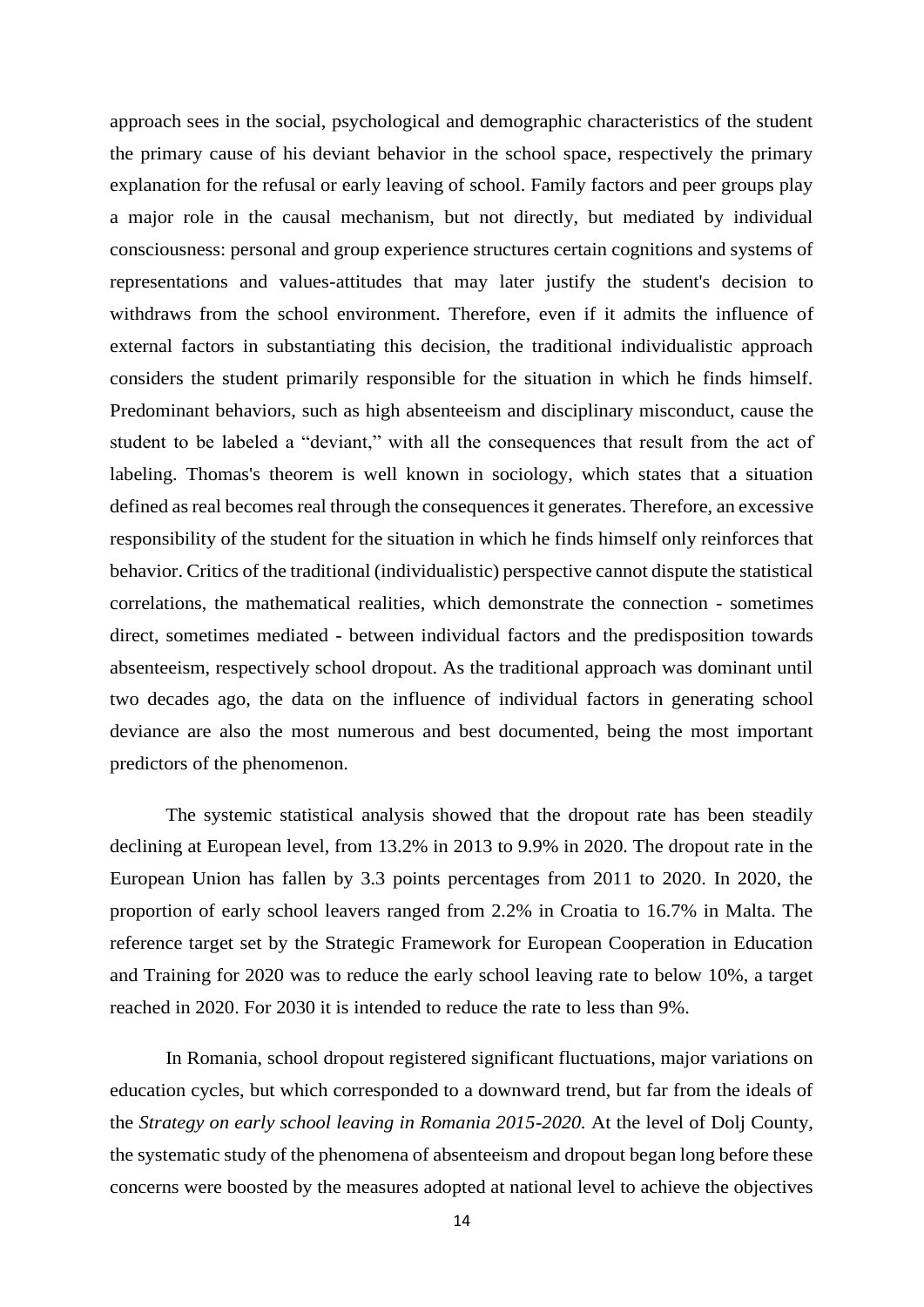approach sees in the social, psychological and demographic characteristics of the student the primary cause of his deviant behavior in the school space, respectively the primary explanation for the refusal or early leaving of school. Family factors and peer groups play a major role in the causal mechanism, but not directly, but mediated by individual consciousness: personal and group experience structures certain cognitions and systems of representations and values-attitudes that may later justify the student's decision to withdraws from the school environment. Therefore, even if it admits the influence of external factors in substantiating this decision, the traditional individualistic approach considers the student primarily responsible for the situation in which he finds himself. Predominant behaviors, such as high absenteeism and disciplinary misconduct, cause the student to be labeled a "deviant," with all the consequences that result from the act of labeling. Thomas's theorem is well known in sociology, which states that a situation defined as real becomes real through the consequences it generates. Therefore, an excessive responsibility of the student for the situation in which he finds himself only reinforces that behavior. Critics of the traditional (individualistic) perspective cannot dispute the statistical correlations, the mathematical realities, which demonstrate the connection - sometimes direct, sometimes mediated - between individual factors and the predisposition towards absenteeism, respectively school dropout. As the traditional approach was dominant until two decades ago, the data on the influence of individual factors in generating school deviance are also the most numerous and best documented, being the most important predictors of the phenomenon.

The systemic statistical analysis showed that the dropout rate has been steadily declining at European level, from 13.2% in 2013 to 9.9% in 2020. The dropout rate in the European Union has fallen by 3.3 points percentages from 2011 to 2020. In 2020, the proportion of early school leavers ranged from 2.2% in Croatia to 16.7% in Malta. The reference target set by the Strategic Framework for European Cooperation in Education and Training for 2020 was to reduce the early school leaving rate to below 10%, a target reached in 2020. For 2030 it is intended to reduce the rate to less than 9%.

In Romania, school dropout registered significant fluctuations, major variations on education cycles, but which corresponded to a downward trend, but far from the ideals of the *Strategy on early school leaving in Romania 2015-2020.* At the level of Dolj County, the systematic study of the phenomena of absenteeism and dropout began long before these concerns were boosted by the measures adopted at national level to achieve the objectives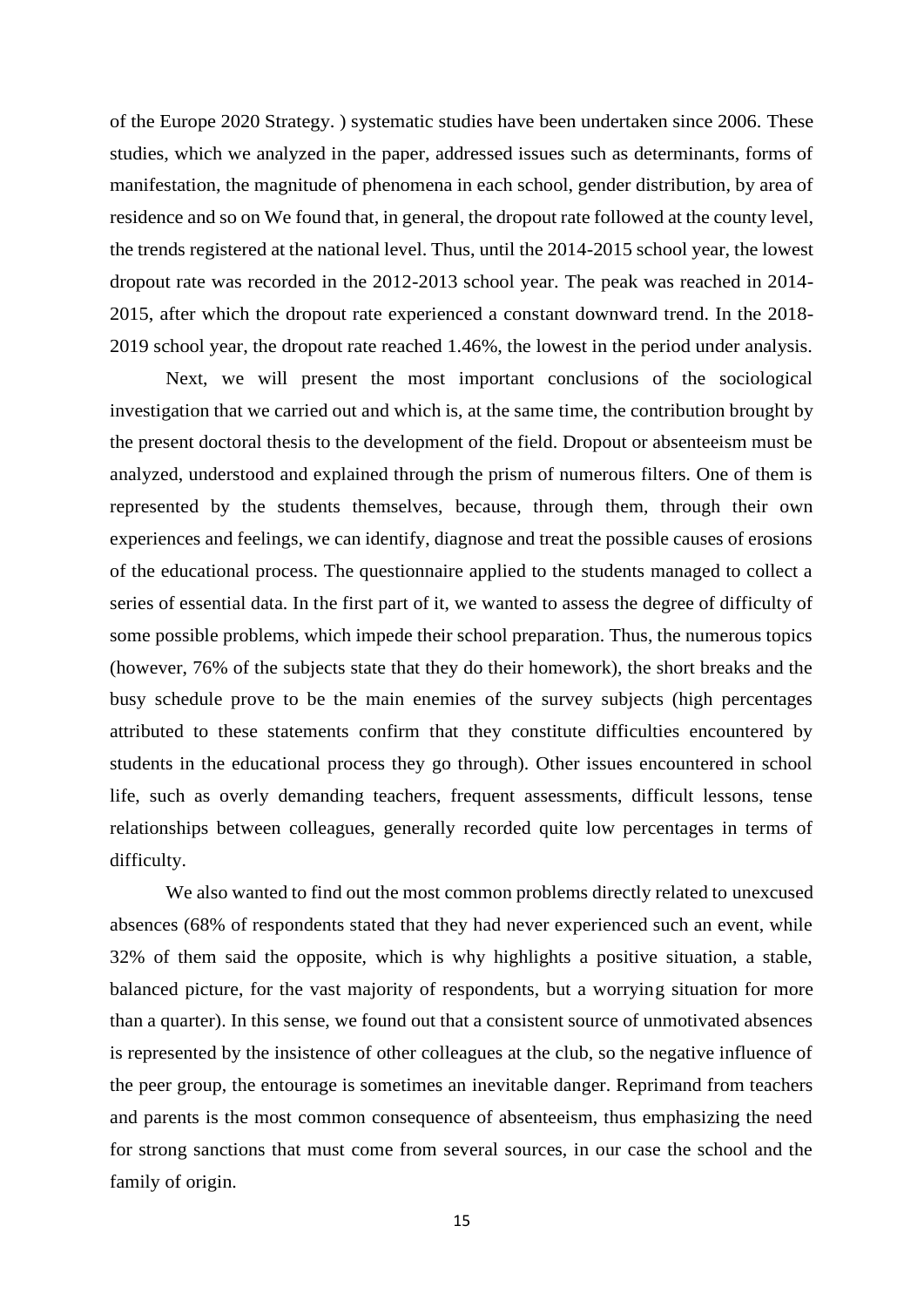of the Europe 2020 Strategy. ) systematic studies have been undertaken since 2006. These studies, which we analyzed in the paper, addressed issues such as determinants, forms of manifestation, the magnitude of phenomena in each school, gender distribution, by area of residence and so on We found that, in general, the dropout rate followed at the county level, the trends registered at the national level. Thus, until the 2014-2015 school year, the lowest dropout rate was recorded in the 2012-2013 school year. The peak was reached in 2014- 2015, after which the dropout rate experienced a constant downward trend. In the 2018- 2019 school year, the dropout rate reached 1.46%, the lowest in the period under analysis.

Next, we will present the most important conclusions of the sociological investigation that we carried out and which is, at the same time, the contribution brought by the present doctoral thesis to the development of the field. Dropout or absenteeism must be analyzed, understood and explained through the prism of numerous filters. One of them is represented by the students themselves, because, through them, through their own experiences and feelings, we can identify, diagnose and treat the possible causes of erosions of the educational process. The questionnaire applied to the students managed to collect a series of essential data. In the first part of it, we wanted to assess the degree of difficulty of some possible problems, which impede their school preparation. Thus, the numerous topics (however, 76% of the subjects state that they do their homework), the short breaks and the busy schedule prove to be the main enemies of the survey subjects (high percentages attributed to these statements confirm that they constitute difficulties encountered by students in the educational process they go through). Other issues encountered in school life, such as overly demanding teachers, frequent assessments, difficult lessons, tense relationships between colleagues, generally recorded quite low percentages in terms of difficulty.

We also wanted to find out the most common problems directly related to unexcused absences (68% of respondents stated that they had never experienced such an event, while 32% of them said the opposite, which is why highlights a positive situation, a stable, balanced picture, for the vast majority of respondents, but a worrying situation for more than a quarter). In this sense, we found out that a consistent source of unmotivated absences is represented by the insistence of other colleagues at the club, so the negative influence of the peer group, the entourage is sometimes an inevitable danger. Reprimand from teachers and parents is the most common consequence of absenteeism, thus emphasizing the need for strong sanctions that must come from several sources, in our case the school and the family of origin.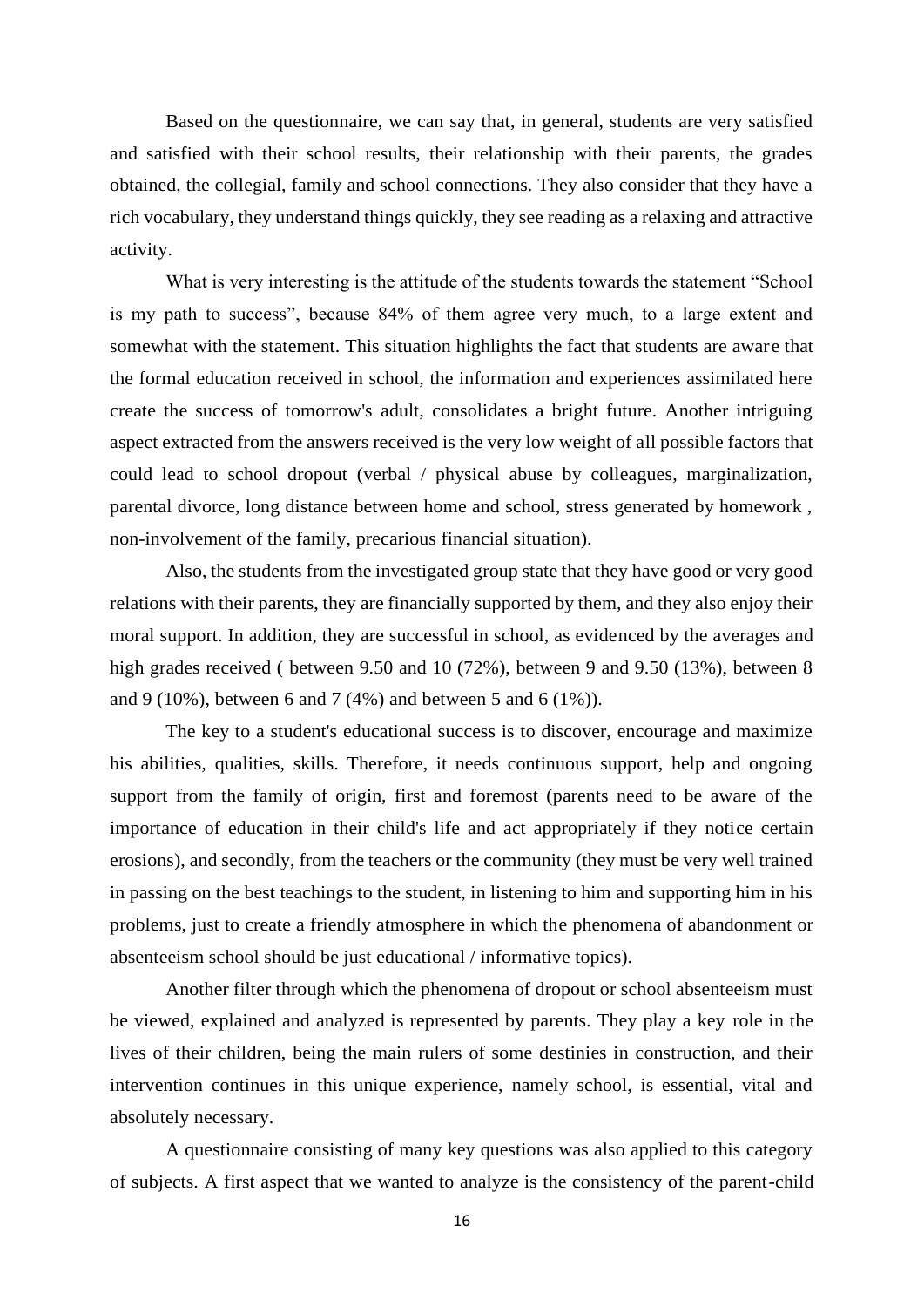Based on the questionnaire, we can say that, in general, students are very satisfied and satisfied with their school results, their relationship with their parents, the grades obtained, the collegial, family and school connections. They also consider that they have a rich vocabulary, they understand things quickly, they see reading as a relaxing and attractive activity.

What is very interesting is the attitude of the students towards the statement "School is my path to success", because 84% of them agree very much, to a large extent and somewhat with the statement. This situation highlights the fact that students are aware that the formal education received in school, the information and experiences assimilated here create the success of tomorrow's adult, consolidates a bright future. Another intriguing aspect extracted from the answers received is the very low weight of all possible factors that could lead to school dropout (verbal / physical abuse by colleagues, marginalization, parental divorce, long distance between home and school, stress generated by homework , non-involvement of the family, precarious financial situation).

Also, the students from the investigated group state that they have good or very good relations with their parents, they are financially supported by them, and they also enjoy their moral support. In addition, they are successful in school, as evidenced by the averages and high grades received ( between 9.50 and 10 (72%), between 9 and 9.50 (13%), between 8 and 9 (10%), between 6 and 7 (4%) and between 5 and 6 (1%)).

The key to a student's educational success is to discover, encourage and maximize his abilities, qualities, skills. Therefore, it needs continuous support, help and ongoing support from the family of origin, first and foremost (parents need to be aware of the importance of education in their child's life and act appropriately if they notice certain erosions), and secondly, from the teachers or the community (they must be very well trained in passing on the best teachings to the student, in listening to him and supporting him in his problems, just to create a friendly atmosphere in which the phenomena of abandonment or absenteeism school should be just educational / informative topics).

Another filter through which the phenomena of dropout or school absenteeism must be viewed, explained and analyzed is represented by parents. They play a key role in the lives of their children, being the main rulers of some destinies in construction, and their intervention continues in this unique experience, namely school, is essential, vital and absolutely necessary.

A questionnaire consisting of many key questions was also applied to this category of subjects. A first aspect that we wanted to analyze is the consistency of the parent-child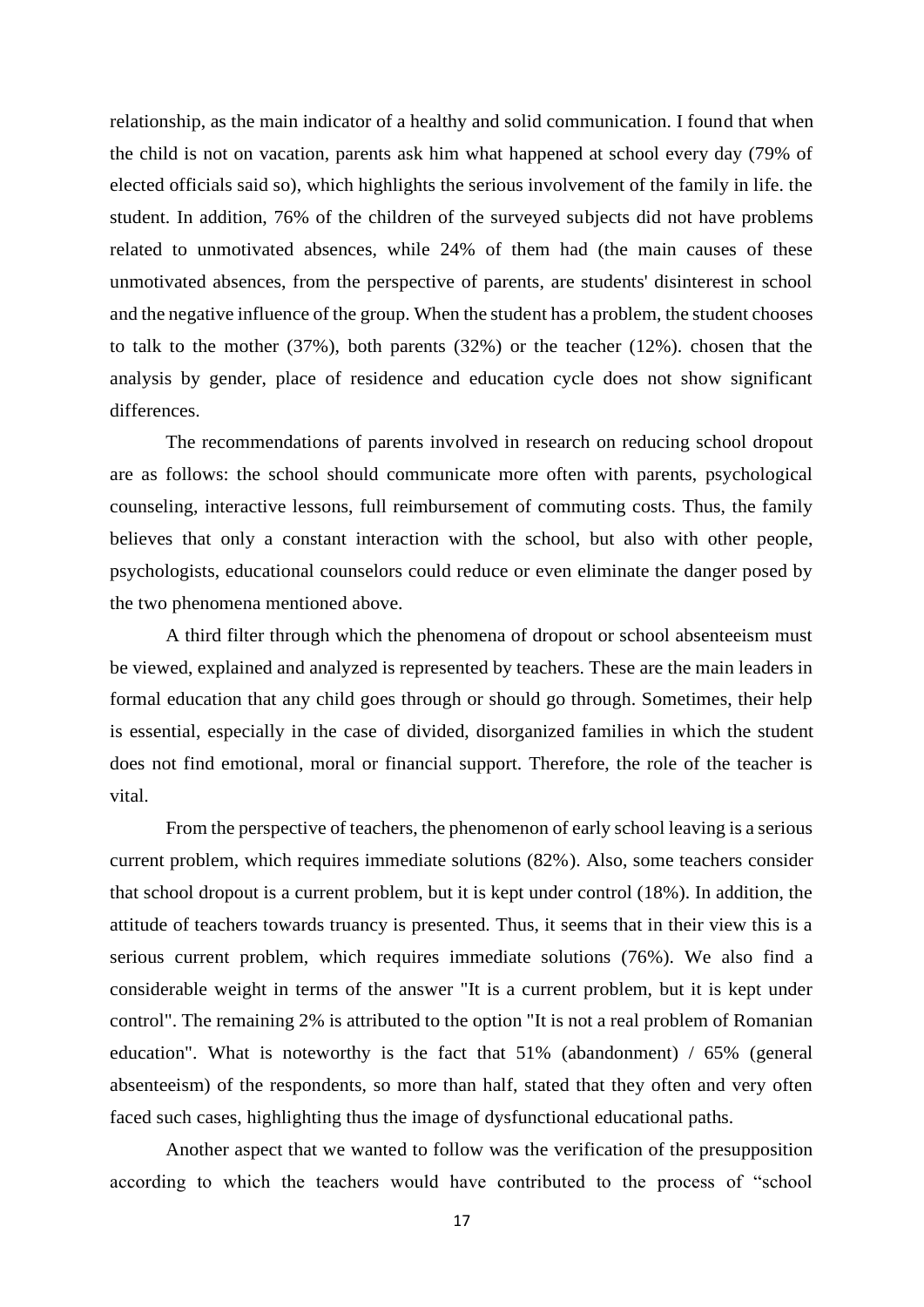relationship, as the main indicator of a healthy and solid communication. I found that when the child is not on vacation, parents ask him what happened at school every day (79% of elected officials said so), which highlights the serious involvement of the family in life. the student. In addition, 76% of the children of the surveyed subjects did not have problems related to unmotivated absences, while 24% of them had (the main causes of these unmotivated absences, from the perspective of parents, are students' disinterest in school and the negative influence of the group. When the student has a problem, the student chooses to talk to the mother (37%), both parents (32%) or the teacher (12%). chosen that the analysis by gender, place of residence and education cycle does not show significant differences.

The recommendations of parents involved in research on reducing school dropout are as follows: the school should communicate more often with parents, psychological counseling, interactive lessons, full reimbursement of commuting costs. Thus, the family believes that only a constant interaction with the school, but also with other people, psychologists, educational counselors could reduce or even eliminate the danger posed by the two phenomena mentioned above.

A third filter through which the phenomena of dropout or school absenteeism must be viewed, explained and analyzed is represented by teachers. These are the main leaders in formal education that any child goes through or should go through. Sometimes, their help is essential, especially in the case of divided, disorganized families in which the student does not find emotional, moral or financial support. Therefore, the role of the teacher is vital.

From the perspective of teachers, the phenomenon of early school leaving is a serious current problem, which requires immediate solutions (82%). Also, some teachers consider that school dropout is a current problem, but it is kept under control (18%). In addition, the attitude of teachers towards truancy is presented. Thus, it seems that in their view this is a serious current problem, which requires immediate solutions (76%). We also find a considerable weight in terms of the answer "It is a current problem, but it is kept under control". The remaining 2% is attributed to the option "It is not a real problem of Romanian education". What is noteworthy is the fact that 51% (abandonment) / 65% (general absenteeism) of the respondents, so more than half, stated that they often and very often faced such cases, highlighting thus the image of dysfunctional educational paths.

Another aspect that we wanted to follow was the verification of the presupposition according to which the teachers would have contributed to the process of "school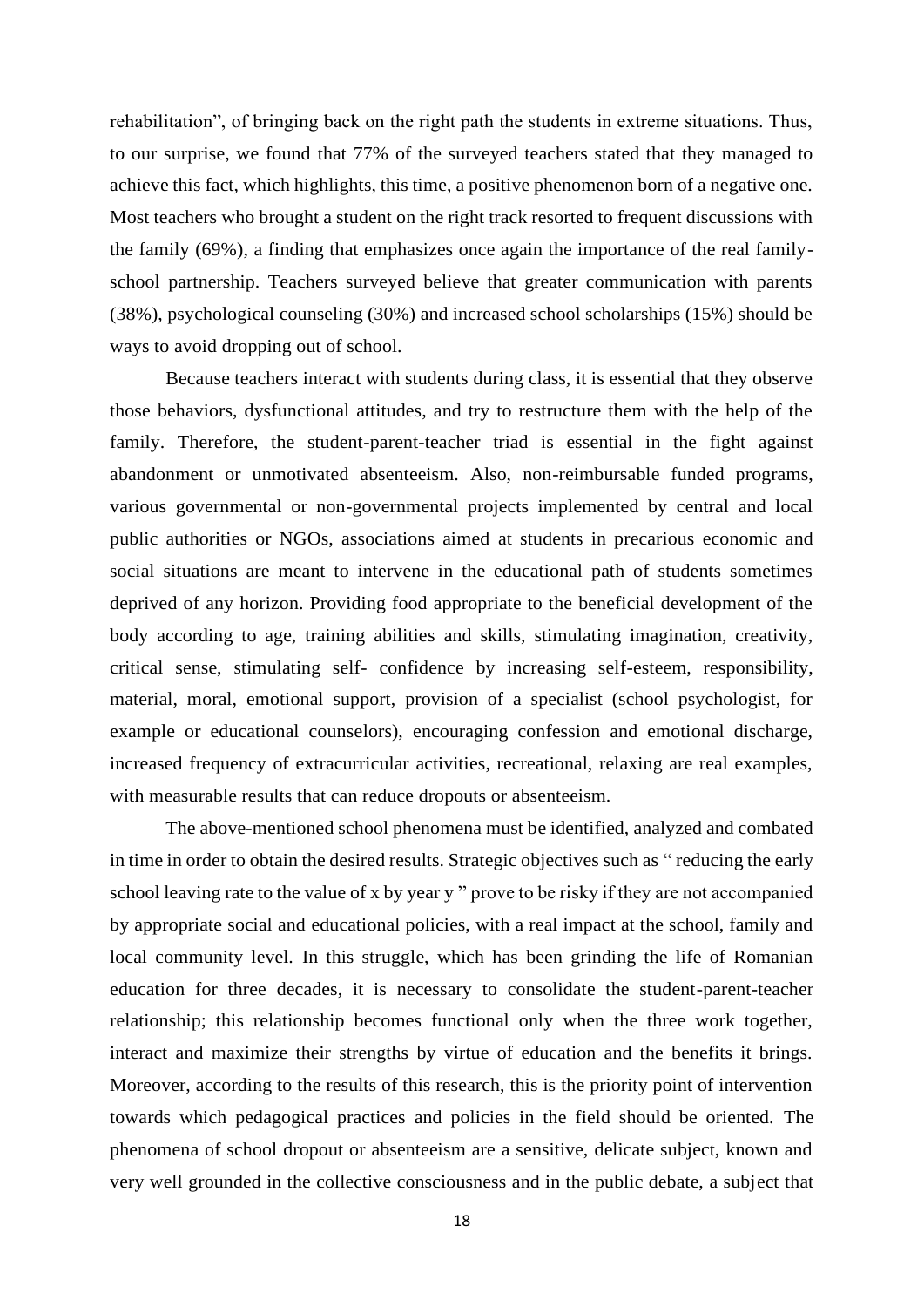rehabilitation", of bringing back on the right path the students in extreme situations. Thus, to our surprise, we found that 77% of the surveyed teachers stated that they managed to achieve this fact, which highlights, this time, a positive phenomenon born of a negative one. Most teachers who brought a student on the right track resorted to frequent discussions with the family (69%), a finding that emphasizes once again the importance of the real familyschool partnership. Teachers surveyed believe that greater communication with parents (38%), psychological counseling (30%) and increased school scholarships (15%) should be ways to avoid dropping out of school.

Because teachers interact with students during class, it is essential that they observe those behaviors, dysfunctional attitudes, and try to restructure them with the help of the family. Therefore, the student-parent-teacher triad is essential in the fight against abandonment or unmotivated absenteeism. Also, non-reimbursable funded programs, various governmental or non-governmental projects implemented by central and local public authorities or NGOs, associations aimed at students in precarious economic and social situations are meant to intervene in the educational path of students sometimes deprived of any horizon. Providing food appropriate to the beneficial development of the body according to age, training abilities and skills, stimulating imagination, creativity, critical sense, stimulating self- confidence by increasing self-esteem, responsibility, material, moral, emotional support, provision of a specialist (school psychologist, for example or educational counselors), encouraging confession and emotional discharge, increased frequency of extracurricular activities, recreational, relaxing are real examples, with measurable results that can reduce dropouts or absenteeism.

The above-mentioned school phenomena must be identified, analyzed and combated in time in order to obtain the desired results. Strategic objectives such as " reducing the early school leaving rate to the value of x by year y " prove to be risky if they are not accompanied by appropriate social and educational policies, with a real impact at the school, family and local community level. In this struggle, which has been grinding the life of Romanian education for three decades, it is necessary to consolidate the student-parent-teacher relationship; this relationship becomes functional only when the three work together, interact and maximize their strengths by virtue of education and the benefits it brings. Moreover, according to the results of this research, this is the priority point of intervention towards which pedagogical practices and policies in the field should be oriented. The phenomena of school dropout or absenteeism are a sensitive, delicate subject, known and very well grounded in the collective consciousness and in the public debate, a subject that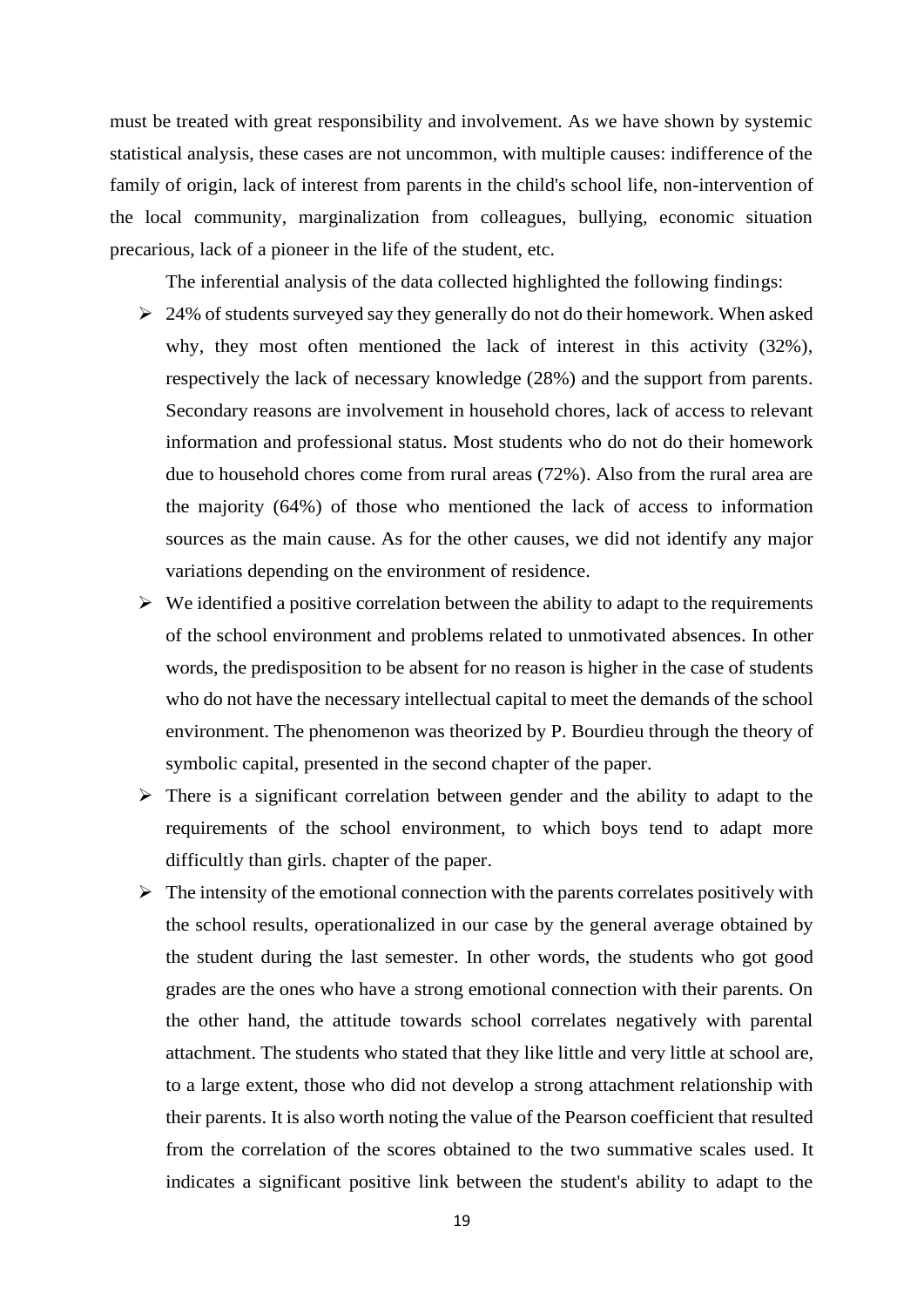must be treated with great responsibility and involvement. As we have shown by systemic statistical analysis, these cases are not uncommon, with multiple causes: indifference of the family of origin, lack of interest from parents in the child's school life, non-intervention of the local community, marginalization from colleagues, bullying, economic situation precarious, lack of a pioneer in the life of the student, etc.

The inferential analysis of the data collected highlighted the following findings:

- $\geq 24\%$  of students surveyed say they generally do not do their homework. When asked why, they most often mentioned the lack of interest in this activity (32%), respectively the lack of necessary knowledge (28%) and the support from parents. Secondary reasons are involvement in household chores, lack of access to relevant information and professional status. Most students who do not do their homework due to household chores come from rural areas (72%). Also from the rural area are the majority (64%) of those who mentioned the lack of access to information sources as the main cause. As for the other causes, we did not identify any major variations depending on the environment of residence.
- $\triangleright$  We identified a positive correlation between the ability to adapt to the requirements of the school environment and problems related to unmotivated absences. In other words, the predisposition to be absent for no reason is higher in the case of students who do not have the necessary intellectual capital to meet the demands of the school environment. The phenomenon was theorized by P. Bourdieu through the theory of symbolic capital, presented in the second chapter of the paper.
- ➢ There is a significant correlation between gender and the ability to adapt to the requirements of the school environment, to which boys tend to adapt more difficultly than girls. chapter of the paper.
- $\triangleright$  The intensity of the emotional connection with the parents correlates positively with the school results, operationalized in our case by the general average obtained by the student during the last semester. In other words, the students who got good grades are the ones who have a strong emotional connection with their parents. On the other hand, the attitude towards school correlates negatively with parental attachment. The students who stated that they like little and very little at school are, to a large extent, those who did not develop a strong attachment relationship with their parents. It is also worth noting the value of the Pearson coefficient that resulted from the correlation of the scores obtained to the two summative scales used. It indicates a significant positive link between the student's ability to adapt to the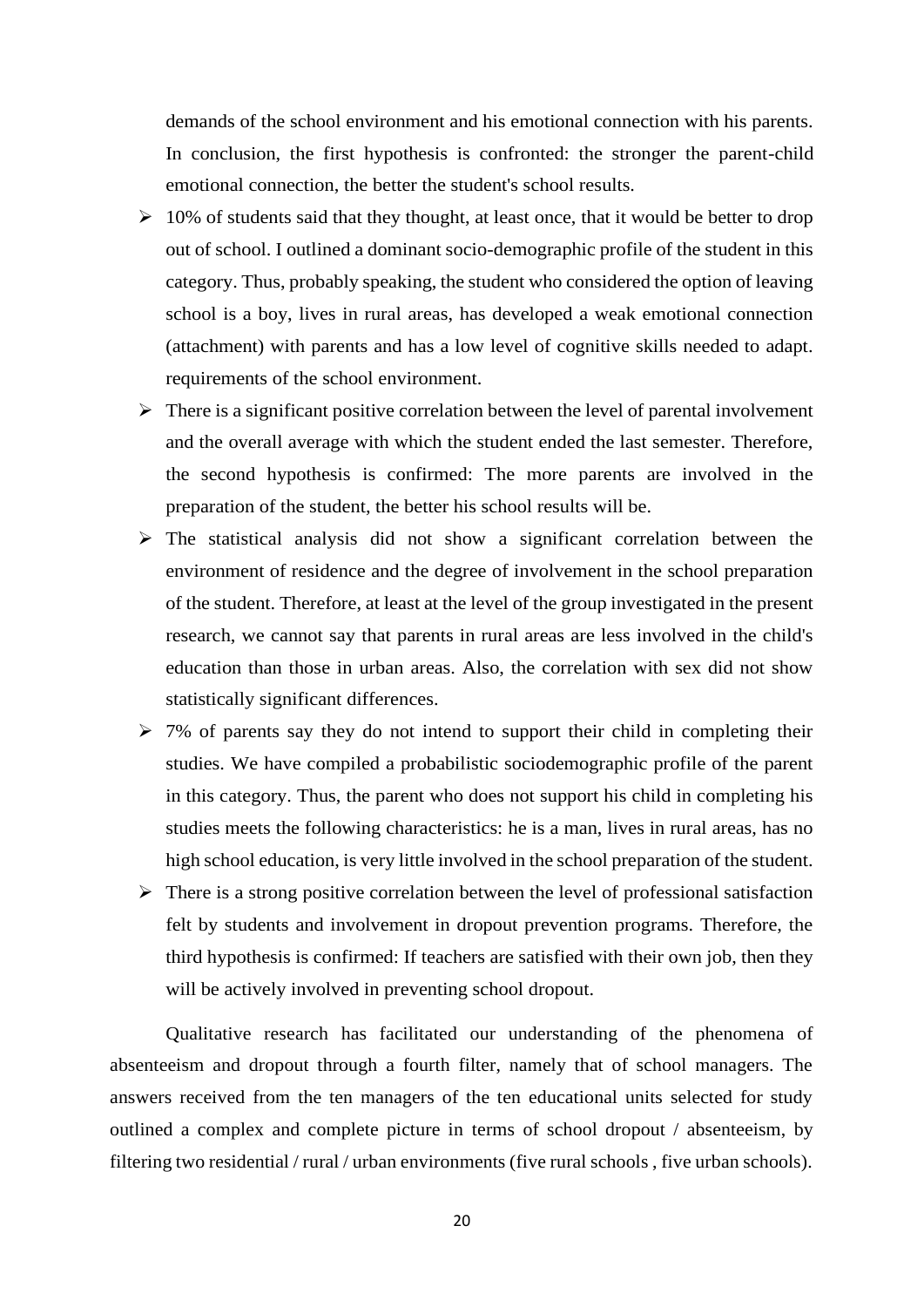demands of the school environment and his emotional connection with his parents. In conclusion, the first hypothesis is confronted: the stronger the parent-child emotional connection, the better the student's school results.

- $\geq 10\%$  of students said that they thought, at least once, that it would be better to drop out of school. I outlined a dominant socio-demographic profile of the student in this category. Thus, probably speaking, the student who considered the option of leaving school is a boy, lives in rural areas, has developed a weak emotional connection (attachment) with parents and has a low level of cognitive skills needed to adapt. requirements of the school environment.
- $\triangleright$  There is a significant positive correlation between the level of parental involvement and the overall average with which the student ended the last semester. Therefore, the second hypothesis is confirmed: The more parents are involved in the preparation of the student, the better his school results will be.
- ➢ The statistical analysis did not show a significant correlation between the environment of residence and the degree of involvement in the school preparation of the student. Therefore, at least at the level of the group investigated in the present research, we cannot say that parents in rural areas are less involved in the child's education than those in urban areas. Also, the correlation with sex did not show statistically significant differences.
- $\geq$  7% of parents say they do not intend to support their child in completing their studies. We have compiled a probabilistic sociodemographic profile of the parent in this category. Thus, the parent who does not support his child in completing his studies meets the following characteristics: he is a man, lives in rural areas, has no high school education, is very little involved in the school preparation of the student.
- $\triangleright$  There is a strong positive correlation between the level of professional satisfaction felt by students and involvement in dropout prevention programs. Therefore, the third hypothesis is confirmed: If teachers are satisfied with their own job, then they will be actively involved in preventing school dropout.

Qualitative research has facilitated our understanding of the phenomena of absenteeism and dropout through a fourth filter, namely that of school managers. The answers received from the ten managers of the ten educational units selected for study outlined a complex and complete picture in terms of school dropout / absenteeism, by filtering two residential / rural / urban environments (five rural schools , five urban schools).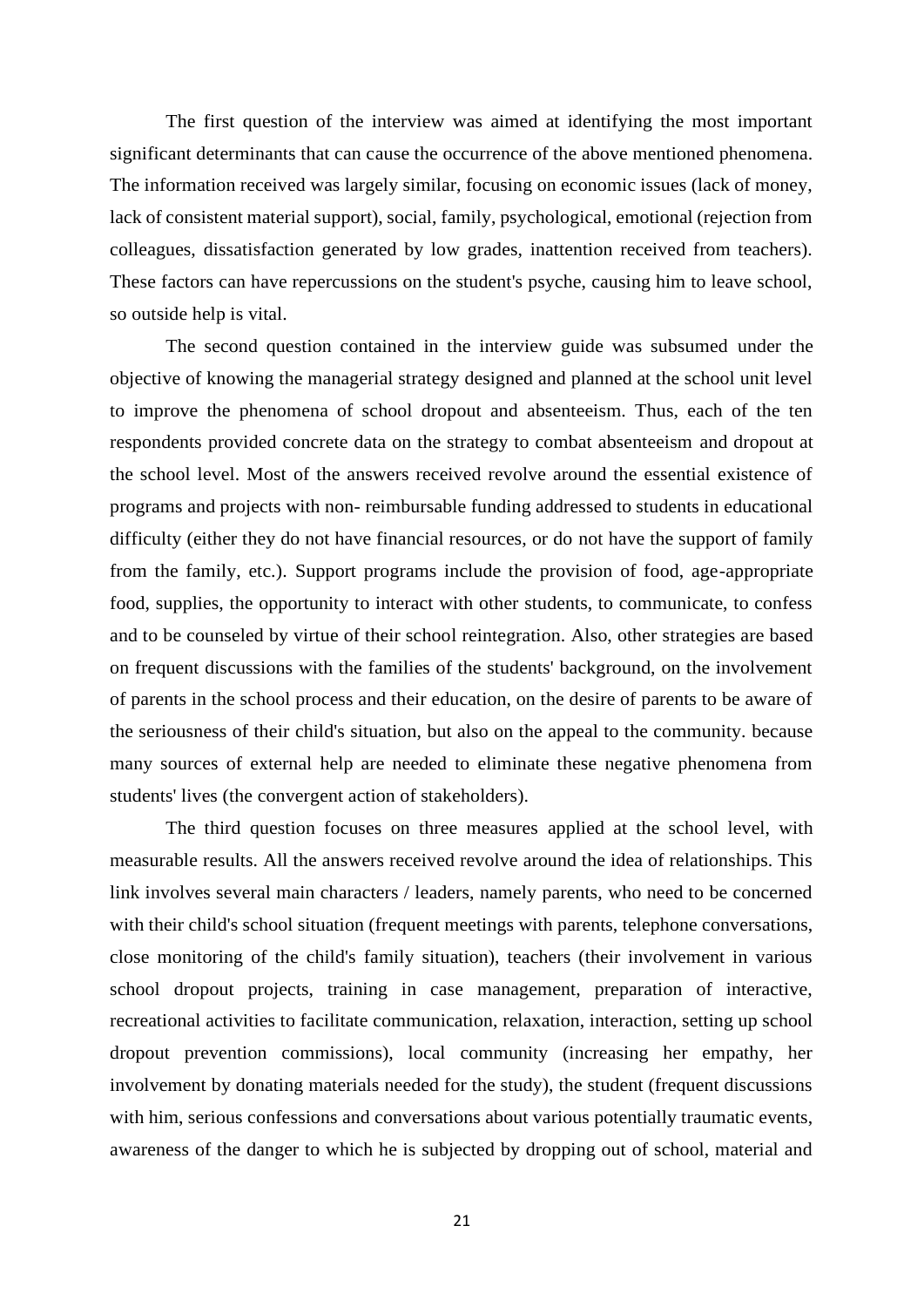The first question of the interview was aimed at identifying the most important significant determinants that can cause the occurrence of the above mentioned phenomena. The information received was largely similar, focusing on economic issues (lack of money, lack of consistent material support), social, family, psychological, emotional (rejection from colleagues, dissatisfaction generated by low grades, inattention received from teachers). These factors can have repercussions on the student's psyche, causing him to leave school, so outside help is vital.

The second question contained in the interview guide was subsumed under the objective of knowing the managerial strategy designed and planned at the school unit level to improve the phenomena of school dropout and absenteeism. Thus, each of the ten respondents provided concrete data on the strategy to combat absenteeism and dropout at the school level. Most of the answers received revolve around the essential existence of programs and projects with non- reimbursable funding addressed to students in educational difficulty (either they do not have financial resources, or do not have the support of family from the family, etc.). Support programs include the provision of food, age-appropriate food, supplies, the opportunity to interact with other students, to communicate, to confess and to be counseled by virtue of their school reintegration. Also, other strategies are based on frequent discussions with the families of the students' background, on the involvement of parents in the school process and their education, on the desire of parents to be aware of the seriousness of their child's situation, but also on the appeal to the community. because many sources of external help are needed to eliminate these negative phenomena from students' lives (the convergent action of stakeholders).

The third question focuses on three measures applied at the school level, with measurable results. All the answers received revolve around the idea of relationships. This link involves several main characters / leaders, namely parents, who need to be concerned with their child's school situation (frequent meetings with parents, telephone conversations, close monitoring of the child's family situation), teachers (their involvement in various school dropout projects, training in case management, preparation of interactive, recreational activities to facilitate communication, relaxation, interaction, setting up school dropout prevention commissions), local community (increasing her empathy, her involvement by donating materials needed for the study), the student (frequent discussions with him, serious confessions and conversations about various potentially traumatic events, awareness of the danger to which he is subjected by dropping out of school, material and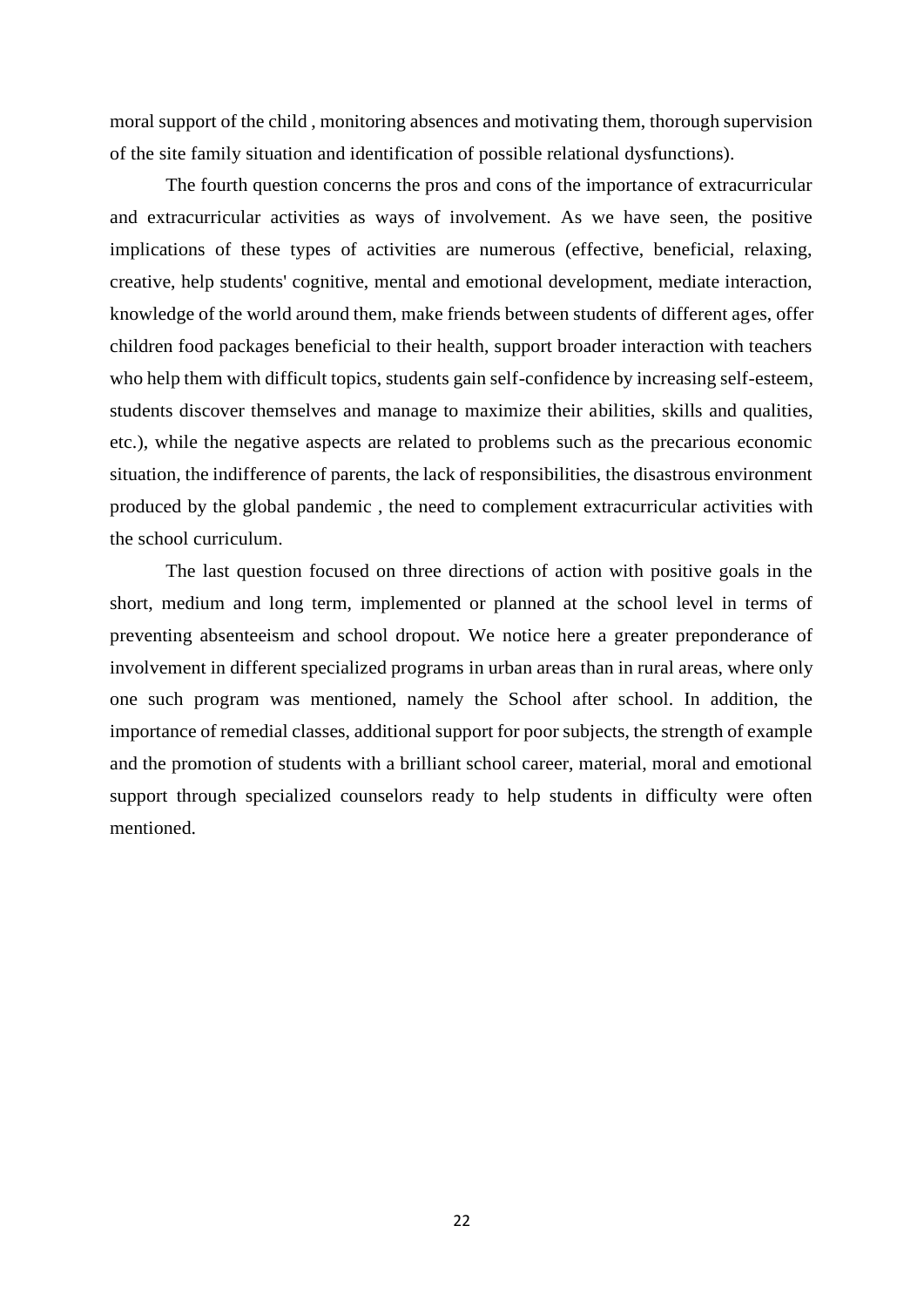moral support of the child , monitoring absences and motivating them, thorough supervision of the site family situation and identification of possible relational dysfunctions).

The fourth question concerns the pros and cons of the importance of extracurricular and extracurricular activities as ways of involvement. As we have seen, the positive implications of these types of activities are numerous (effective, beneficial, relaxing, creative, help students' cognitive, mental and emotional development, mediate interaction, knowledge of the world around them, make friends between students of different ages, offer children food packages beneficial to their health, support broader interaction with teachers who help them with difficult topics, students gain self-confidence by increasing self-esteem, students discover themselves and manage to maximize their abilities, skills and qualities, etc.), while the negative aspects are related to problems such as the precarious economic situation, the indifference of parents, the lack of responsibilities, the disastrous environment produced by the global pandemic , the need to complement extracurricular activities with the school curriculum.

The last question focused on three directions of action with positive goals in the short, medium and long term, implemented or planned at the school level in terms of preventing absenteeism and school dropout. We notice here a greater preponderance of involvement in different specialized programs in urban areas than in rural areas, where only one such program was mentioned, namely the School after school. In addition, the importance of remedial classes, additional support for poor subjects, the strength of example and the promotion of students with a brilliant school career, material, moral and emotional support through specialized counselors ready to help students in difficulty were often mentioned.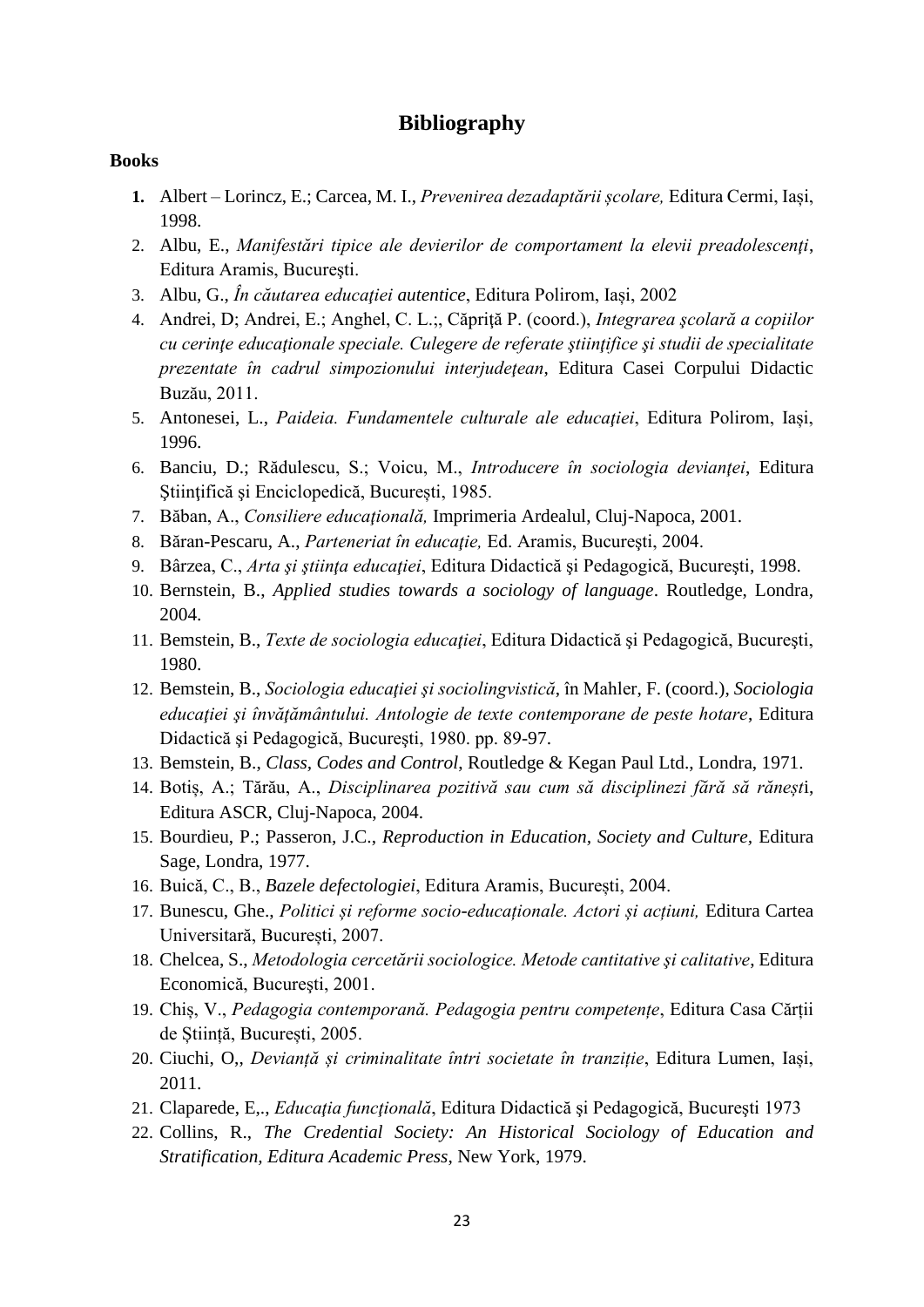#### **Bibliography**

#### **Books**

- **1.** Albert Lorincz, E.; Carcea, M. I., *Prevenirea dezadaptării școlare,* Editura Cermi, Iași, 1998.
- 2. Albu, E., *Manifestări tipice ale devierilor de comportament la elevii preadolescenţi*, Editura Aramis, Bucureşti.
- 3. Albu, G., *În căutarea educaţiei autentice*, Editura Polirom, Iași, 2002
- 4. Andrei, D; Andrei, E.; Anghel, C. L.;, Căpriţă P. (coord.), *Integrarea şcolară a copiilor cu cerinţe educaţionale speciale. Culegere de referate ştiinţifice şi studii de specialitate prezentate în cadrul simpozionului interjudeţean*, Editura Casei Corpului Didactic Buzău, 2011.
- 5. Antonesei, L., Paideia. Fundamentele culturale ale educatiei, Editura Polirom, Iași, 1996.
- 6. Banciu, D.; Rădulescu, S.; Voicu, M., *Introducere în sociologia devianţei*, Editura Stiintifică și Enciclopedică, București, 1985.
- 7. Băban, A., *Consiliere educaţională,* Imprimeria Ardealul, Cluj-Napoca, 2001.
- 8. Băran-Pescaru, A., *Parteneriat în educație*, Ed. Aramis, București, 2004.
- 9. Bârzea, C., *Arta şi ştiinţa educaţiei*, Editura Didactică şi Pedagogică, Bucureşti, 1998.
- 10. Bernstein, B., *Applied studies towards a sociology of language*. Routledge, Londra, 2004.
- 11. Bemstein, B., *Texte de sociologia educaţiei*, Editura Didactică şi Pedagogică, Bucureşti, 1980.
- 12. Bemstein, B., *Sociologia educaţiei şi sociolingvistică*, în Mahler, F. (coord.), *Sociologia educaţiei şi învăţământului. Antologie de texte contemporane de peste hotare*, Editura Didactică şi Pedagogică, Bucureşti, 1980. pp. 89-97.
- 13. Bemstein, B., *Class, Codes and Control*, Routledge & Kegan Paul Ltd., Londra, 1971.
- 14. Botiș, A.; Tărău, A., *Disciplinarea pozitivă sau cum să disciplinezi fără să răneșt*i, Editura ASCR, Cluj-Napoca, 2004.
- 15. Bourdieu, P.; Passeron, J.C., *Reproduction in Education, Society and Culture,* Editura Sage, Londra, 1977.
- 16. Buică, C., B., *Bazele defectologiei*, Editura Aramis, București, 2004.
- 17. Bunescu, Ghe., *Politici și reforme socio-educaționale. Actori și acțiuni,* Editura Cartea Universitară, București, 2007.
- 18. Chelcea, S., *Metodologia cercetării sociologice. Metode cantitative şi calitative*, Editura Economică, Bucureşti, 2001.
- 19. Chiș, V., *Pedagogia contemporană. Pedagogia pentru competențe*, Editura Casa Cărții de Știință, București, 2005.
- 20. Ciuchi, O,, *Devianță și criminalitate întri societate în tranziție*, Editura Lumen, Iași, 2011.
- 21. Claparede, E,., *Educaţia funcţională*, Editura Didactică şi Pedagogică, Bucureşti 1973
- 22. Collins, R., *The Credential Society: An Historical Sociology of Education and Stratification, Editura Academic Press*, New York, 1979.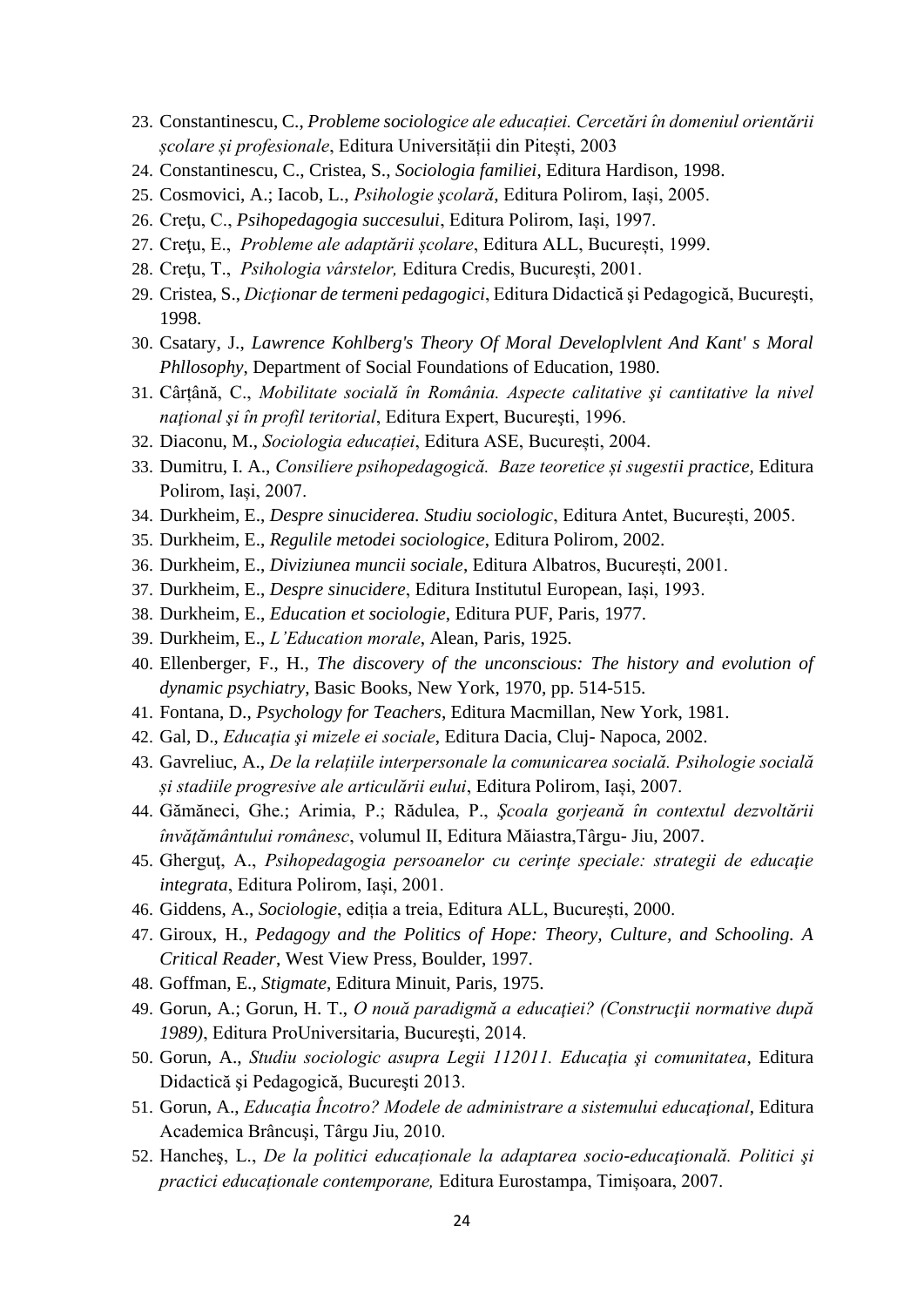- 23. Constantinescu, C., *Probleme sociologice ale educației. Cercetări în domeniul orientării școlare și profesionale*, Editura Universității din Pitești, 2003
- 24. Constantinescu, C., Cristea, S., *Sociologia familiei*, Editura Hardison, 1998.
- 25. Cosmovici, A.; Iacob, L., *Psihologie şcolară*, Editura Polirom, Iași, 2005.
- 26. Creţu, C., *Psihopedagogia succesului*, Editura Polirom, Iași, 1997.
- 27. Creţu, E., *Probleme ale adaptării școlare*, Editura ALL, București, 1999.
- 28. Creţu, T., *Psihologia vârstelor,* Editura Credis, București, 2001.
- 29. Cristea, S., *Dicţionar de termeni pedagogici*, Editura Didactică şi Pedagogică, Bucureşti, 1998.
- 30. Csatary, J., *Lawrence Kohlberg's Theory Of Moral Developlvlent And Kant' s Moral Phllosophy*, Department of Social Foundations of Education, 1980.
- 31. Cârțână, C., *Mobilitate socială în România. Aspecte calitative şi cantitative la nivel naţional şi în profil teritorial*, Editura Expert, Bucureşti, 1996.
- 32. Diaconu, M., *Sociologia educației*, Editura ASE, București, 2004.
- 33. Dumitru, I. A., *Consiliere psihopedagogică. Baze teoretice și sugestii practice,* Editura Polirom, Iași, 2007.
- 34. Durkheim, E., *Despre sinuciderea. Studiu sociologic*, Editura Antet, București, 2005.
- 35. Durkheim, E., *Regulile metodei sociologice*, Editura Polirom, 2002.
- 36. Durkheim, E., *Diviziunea muncii sociale*, Editura Albatros, București, 2001.
- 37. Durkheim, E., *Despre sinucidere*, Editura Institutul European, Iași, 1993.
- 38. Durkheim, E., *Education et sociologie*, Editura PUF, Paris, 1977.
- 39. Durkheim, E., *L'Education morale*, Alean, Paris, 1925.
- 40. Ellenberger, F., H., *The discovery of the unconscious: The history and evolution of dynamic psychiatry*, Basic Books, New York, 1970, pp. 514-515.
- 41. Fontana, D., *Psychology for Teachers*, Editura Macmillan, New York, 1981.
- 42. Gal, D., *Educaţia şi mizele ei sociale*, Editura Dacia, Cluj- Napoca, 2002.
- 43. Gavreliuc, A., *De la relațiile interpersonale la comunicarea socială. Psihologie socială și stadiile progresive ale articulării eului*, Editura Polirom, Iași, 2007.
- 44. Gămăneci, Ghe.; Arimia, P.; Rădulea, P., *Şcoala gorjeană în contextul dezvoltării învăţământului românesc*, volumul II, Editura Măiastra,Târgu- Jiu, 2007.
- 45. Gherguţ, A., *Psihopedagogia persoanelor cu cerinţe speciale: strategii de educaţie integrata*, Editura Polirom, Iași, 2001.
- 46. Giddens, A., *Sociologie*, ediția a treia, Editura ALL, București, 2000.
- 47. Giroux, H., *Pedagogy and the Politics of Hope: Theory, Culture, and Schooling. A Critical Reader*, West View Press, Boulder, 1997.
- 48. Goffman, E., *Stigmate*, Editura Minuit, Paris, 1975.
- 49. Gorun, A.; Gorun, H. T., *O nouă paradigmă a educaţiei? (Construcţii normative după 1989)*, Editura ProUniversitaria, Bucureşti, 2014.
- 50. Gorun, A., *Studiu sociologic asupra Legii 112011. Educaţia şi comunitatea*, Editura Didactică şi Pedagogică, Bucureşti 2013.
- 51. Gorun, A., *Educaţia Încotro? Modele de administrare a sistemului educaţional*, Editura Academica Brâncuşi, Târgu Jiu, 2010.
- 52. Hancheş, L., *De la politici educaționale la adaptarea socio-educaţională. Politici şi practici educaționale contemporane,* Editura Eurostampa, Timișoara, 2007.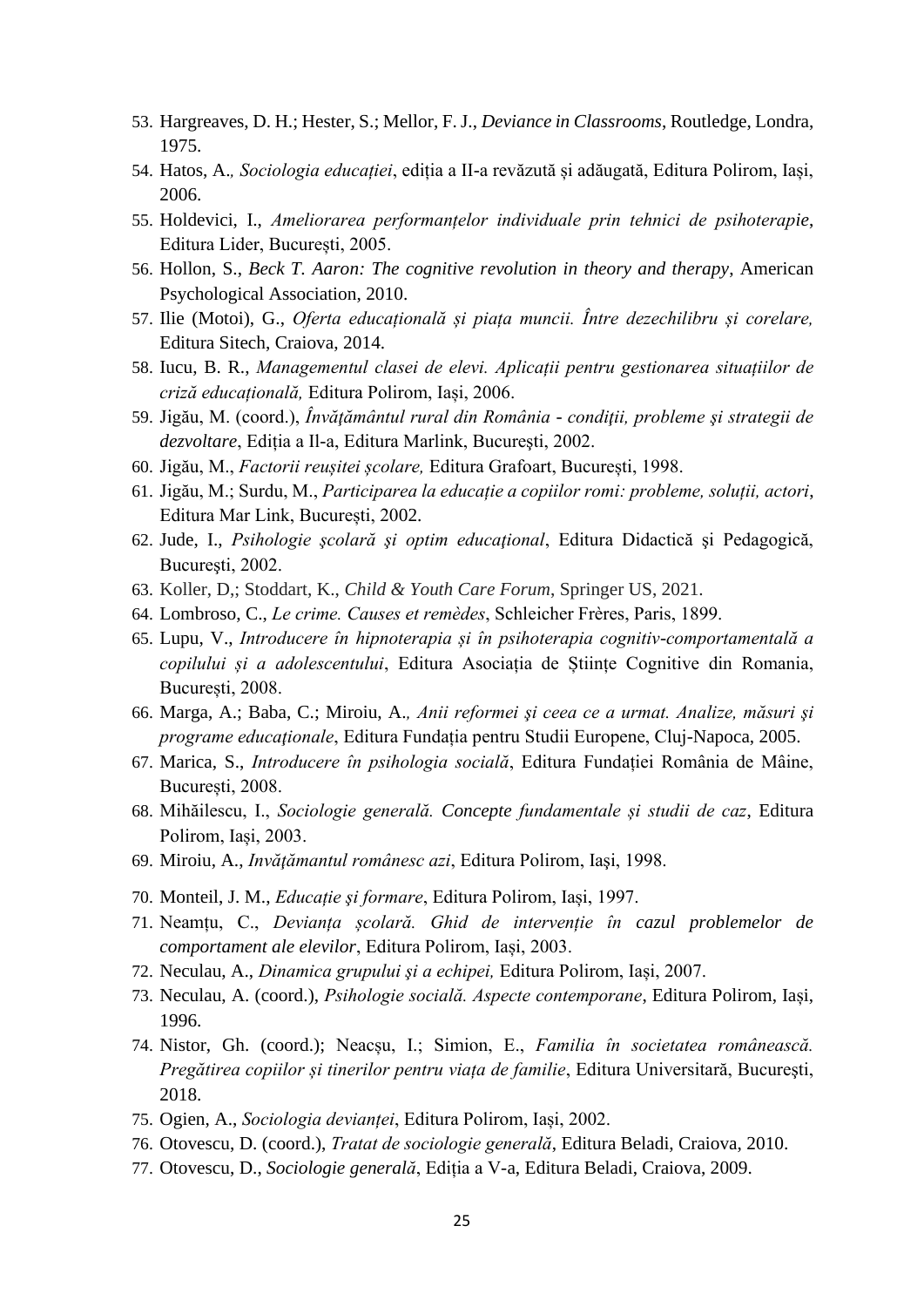- 53. Hargreaves, D. H.; Hester, S.; Mellor, F. J., *Deviance in Classrooms*, Routledge, Londra, 1975.
- 54. Hatos, A.*, Sociologia educației*, ediția a II-a revăzută și adăugată, Editura Polirom, Iași, 2006.
- 55. Holdevici, I., *Ameliorarea performanțelor individuale prin tehnici de psihoterapie*, Editura Lider, București, 2005.
- 56. Hollon, S., *Beck T. Aaron: The cognitive revolution in theory and therapy*, American Psychological Association, 2010.
- 57. Ilie (Motoi), G., *Oferta educațională și piața muncii. Între dezechilibru și corelare,* Editura Sitech, Craiova, 2014.
- 58. Iucu, B. R., *Managementul clasei de elevi. Aplicații pentru gestionarea situațiilor de criză educațională,* Editura Polirom, Iași, 2006.
- 59. Jigău, M. (coord.), *Învăţământul rural din România - condiţii, probleme şi strategii de dezvoltare*, Ediția a Il-a, Editura Marlink, Bucureşti, 2002.
- 60. Jigău, M., *Factorii reușitei școlare,* Editura Grafoart, București, 1998.
- 61. Jigău, M.; Surdu, M., *Participarea la educație a copiilor romi: probleme, soluții, actori*, Editura Mar Link, București, 2002.
- 62. Jude, I., *Psihologie şcolară şi optim educaţional*, Editura Didactică şi Pedagogică, Bucureşti, 2002.
- 63. Koller, D,; Stoddart, K., *Child & Youth Care Forum*, Springer US, 2021.
- 64. Lombroso, C., *Le crime. Causes et remèdes*, Schleicher Frères, Paris, 1899.
- 65. Lupu, V., *Introducere în hipnoterapia și în psihoterapia cognitiv-comportamentală a copilului și a adolescentului*, Editura Asociația de Științe Cognitive din Romania, București, 2008.
- 66. Marga, A.; Baba, C.; Miroiu, A.*, Anii reformei şi ceea ce a urmat. Analize, măsuri şi programe educaţionale*, Editura Fundația pentru Studii Europene, Cluj-Napoca, 2005.
- 67. Marica, S., *Introducere în psihologia socială*, Editura Fundației România de Mâine, București, 2008.
- 68. Mihăilescu, I., *Sociologie generală. Concepte fundamentale și studii de caz*, Editura Polirom, Iași, 2003.
- 69. Miroiu, A., *Invăţămantul românesc azi*, Editura Polirom, Iaşi, 1998.
- 70. Monteil, J. M., *Educație şi formare*, Editura Polirom, Iași, 1997.
- 71. Neamțu, C., *Devianța școlară. Ghid de intervenție în cazul problemelor de comportament ale elevilor*, Editura Polirom, Iași, 2003.
- 72. Neculau, A., *Dinamica grupului şi a echipei,* Editura Polirom, Iași, 2007.
- 73. Neculau, A. (coord.), *Psihologie socială. Aspecte contemporane*, Editura Polirom, Iași, 1996.
- 74. Nistor, Gh. (coord.); Neacșu, I.; Simion, E., *Familia în societatea românească. Pregătirea copiilor și tinerilor pentru viața de familie*, Editura Universitară, Bucureşti, 2018.
- 75. Ogien, A., *Sociologia devianței*, Editura Polirom, Iași, 2002.
- 76. Otovescu, D. (coord.), *Tratat de sociologie generală*, Editura Beladi, Craiova, 2010.
- 77. Otovescu, D., *Sociologie generală*, Ediția a V-a, Editura Beladi, Craiova, 2009.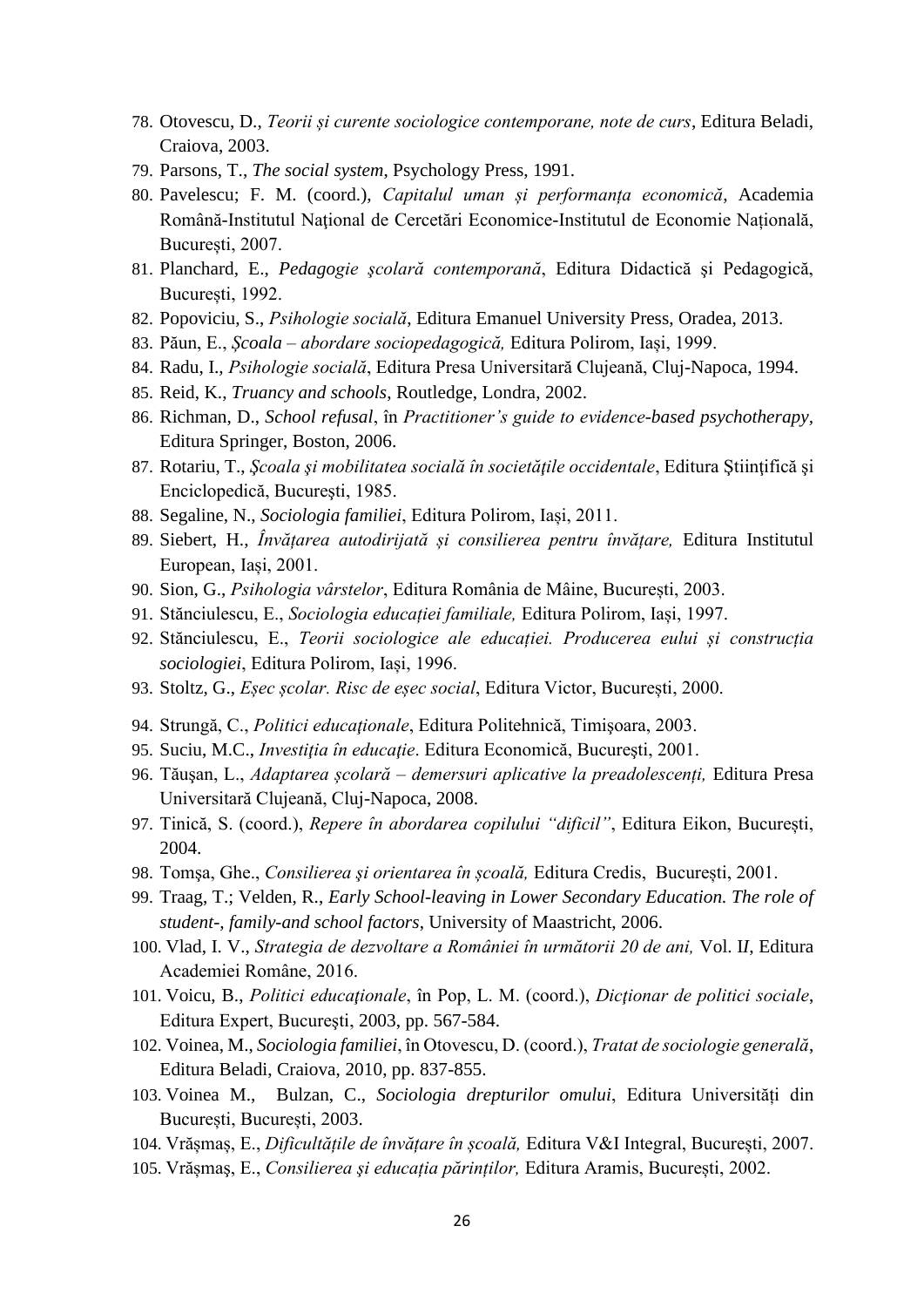- 78. Otovescu, D., *Teorii și curente sociologice contemporane, note de curs*, Editura Beladi, Craiova, 2003.
- 79. Parsons, T., *The social system*, Psychology Press, 1991.
- 80. Pavelescu; F. M. (coord.), *Capitalul uman și performanța economică*, Academia Română-Institutul Naţional de Cercetări Economice-Institutul de Economie Națională, București, 2007.
- 81. Planchard, E., *Pedagogie şcolară contemporană*, Editura Didactică şi Pedagogică, București, 1992.
- 82. Popoviciu, S., *Psihologie socială*, Editura Emanuel University Press, Oradea, 2013.
- 83. Păun, E., *Școala – abordare sociopedagogică,* Editura Polirom, Iași, 1999.
- 84. Radu, I.*, Psihologie socială*, Editura Presa Universitară Clujeană, Cluj-Napoca, 1994.
- 85. Reid, K., *Truancy and schools*, Routledge, Londra, 2002.
- 86. Richman, D., *School refusal*, în *Practitioner's guide to evidence-based psychotherapy,* Editura Springer, Boston, 2006.
- 87. Rotariu, T., *Şcoala şi mobilitatea socială în societăţile occidentale*, Editura Ştiinţifică şi Enciclopedică, Bucureşti, 1985.
- 88. Segaline, N., *Sociologia familiei*, Editura Polirom, Iași, 2011.
- 89. Siebert, H., *Învățarea autodirijată și consilierea pentru învățare,* Editura Institutul European, Iași, 2001.
- 90. Sion, G., *Psihologia vârstelor*, Editura România de Mâine, București, 2003.
- 91. Stănciulescu, E., *Sociologia educației familiale,* Editura Polirom, Iași, 1997.
- 92. Stănciulescu, E., *Teorii sociologice ale educației. Producerea eului și construcția sociologiei*, Editura Polirom, Iași, 1996.
- 93. Stoltz, G., *Eșec școlar. Risc de eșec social*, Editura Victor, București, 2000.
- 94. Strungă, C., *Politici educaţionale*, Editura Politehnică, Timişoara, 2003.
- 95. Suciu, M.C., *Investiţia în educaţie*. Editura Economică, Bucureşti, 2001.
- 96. Tăuşan, L., *Adaptarea școlară – demersuri aplicative la preadolescenți,* Editura Presa Universitară Clujeană, Cluj-Napoca, 2008.
- 97. Tinică, S. (coord.), *Repere în abordarea copilului "dificil"*, Editura Eikon, București, 2004.
- 98. Tomşa, Ghe., *Consilierea şi orientarea în școală,* Editura Credis, București, 2001.
- 99. Traag, T.; Velden, R., *Early School-leaving in Lower Secondary Education. The role of student-, family-and school factors*, University of Maastricht, 2006.
- 100. Vlad, I. V., *Strategia de dezvoltare a României în următorii 20 de ani,* Vol. I*I*, Editura Academiei Române, 2016.
- 101. Voicu, B., *Politici educaţionale*, în Pop, L. M. (coord.), *Dicţionar de politici sociale*, Editura Expert, Bucureşti, 2003, pp. 567-584.
- 102. Voinea, M., *Sociologia familiei*, în Otovescu, D. (coord.), *Tratat de sociologie generală*, Editura Beladi, Craiova, 2010, pp. 837-855.
- 103. Voinea M., Bulzan, C., *Sociologia drepturilor omului*, Editura Universități din București, București, 2003.
- 104. Vrășmaș, E., *Dificultățile de învățare în școală,* Editura V&I Integral, București, 2007.
- 105. Vrășmaş, E., *Consilierea şi educația părinților,* Editura Aramis, București, 2002.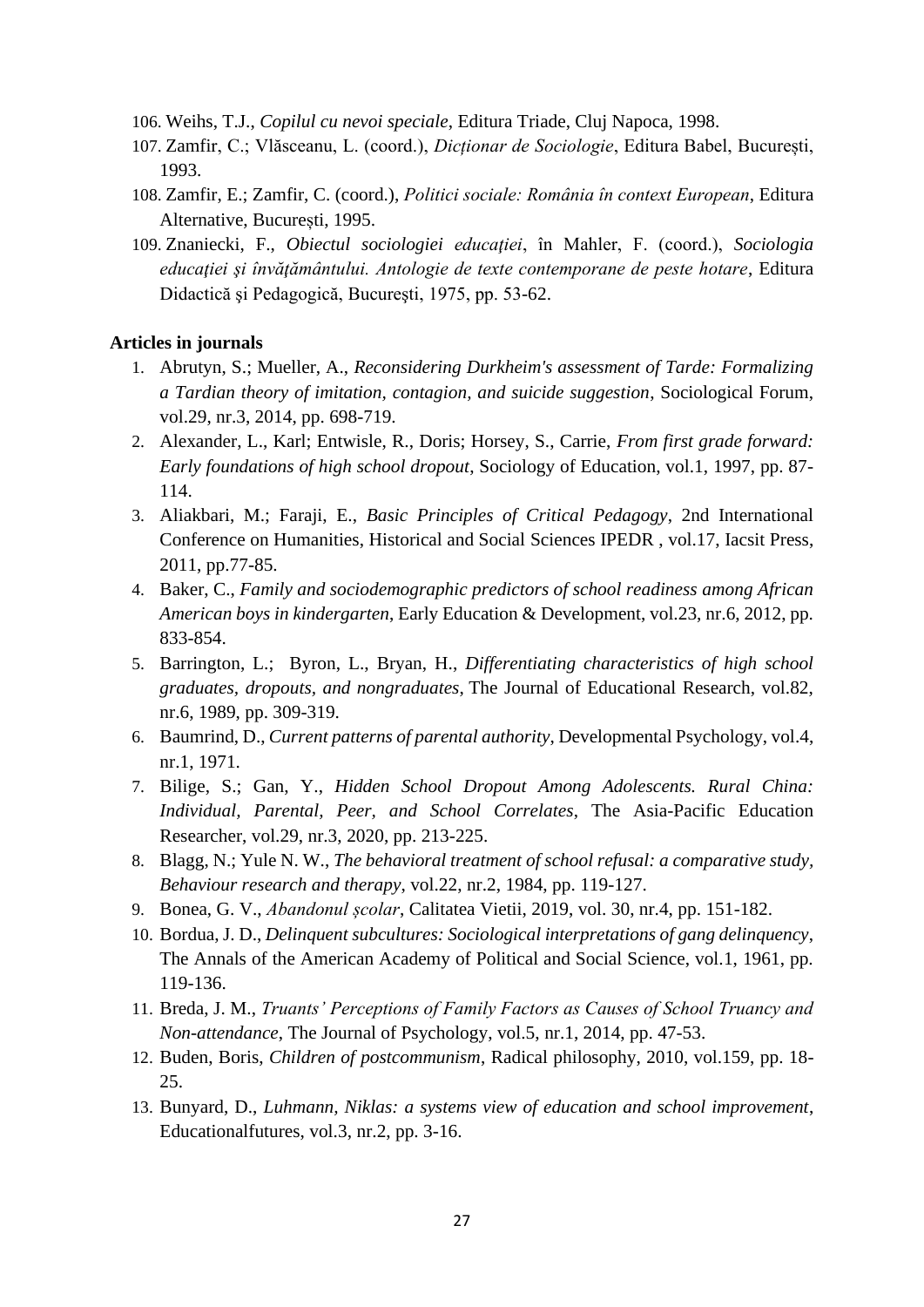- 106. Weihs, T.J., *Copilul cu nevoi speciale*, Editura Triade, Cluj Napoca, 1998.
- 107. Zamfir, C.; Vlăsceanu, L. (coord.), *Dicționar de Sociologie*, Editura Babel, București, 1993.
- 108. Zamfir, E.; Zamfir, C. (coord.), *Politici sociale: România în context European*, Editura Alternative, București, 1995.
- 109. Znaniecki, F., *Obiectul sociologiei educaţiei*, în Mahler, F. (coord.), *Sociologia educaţiei şi învăţământului. Antologie de texte contemporane de peste hotare*, Editura Didactică şi Pedagogică, Bucureşti, 1975, pp. 53-62.

#### **Articles in journals**

- 1. Abrutyn, S.; Mueller, A., *Reconsidering Durkheim's assessment of Tarde: Formalizing a Tardian theory of imitation, contagion, and suicide suggestion*, Sociological Forum, vol.29, nr.3, 2014, pp. 698-719.
- 2. Alexander, L., Karl; Entwisle, R., Doris; Horsey, S., Carrie, *From first grade forward: Early foundations of high school dropout*, Sociology of Education, vol.1, 1997, pp. 87- 114.
- 3. Aliakbari, M.; Faraji, E., *Basic Principles of Critical Pedagogy*, 2nd International Conference on Humanities, Historical and Social Sciences IPEDR , vol.17, Iacsit Press, 2011, pp.77-85.
- 4. Baker, C., *Family and sociodemographic predictors of school readiness among African American boys in kindergarten*, Early Education & Development, vol.23, nr.6, 2012, pp. 833-854.
- 5. Barrington, L.; Byron, L., Bryan, H., *Differentiating characteristics of high school graduates, dropouts, and nongraduates*, The Journal of Educational Research, vol.82, nr.6, 1989, pp. 309-319.
- 6. Baumrind, D., *Current patterns of parental authority*, Developmental Psychology, vol.4, nr.1, 1971.
- 7. Bilige, S.; Gan, Y., *Hidden School Dropout Among Adolescents. Rural China: Individual, Parental, Peer, and School Correlates*, The Asia-Pacific Education Researcher, vol.29, nr.3, 2020, pp. 213-225.
- 8. Blagg, N.; Yule N. W., *The behavioral treatment of school refusal: a comparative study, Behaviour research and therapy*, vol.22, nr.2, 1984, pp. 119-127.
- 9. Bonea, G. V., *Abandonul școlar*, Calitatea Vietii, 2019, vol. 30, nr.4, pp. 151-182.
- 10. Bordua, J. D., *Delinquent subcultures: Sociological interpretations of gang delinquency*, The Annals of the American Academy of Political and Social Science, vol.1, 1961, pp. 119-136.
- 11. Breda, J. M., *Truants' Perceptions of Family Factors as Causes of School Truancy and Non-attendance*, The Journal of Psychology, vol.5, nr.1, 2014, pp. 47-53.
- 12. Buden, Boris, *Children of postcommunism*, Radical philosophy, 2010, vol.159, pp. 18- 25.
- 13. Bunyard, D., *Luhmann, Niklas: a systems view of education and school improvement*, Educationalfutures, vol.3, nr.2, pp. 3-16.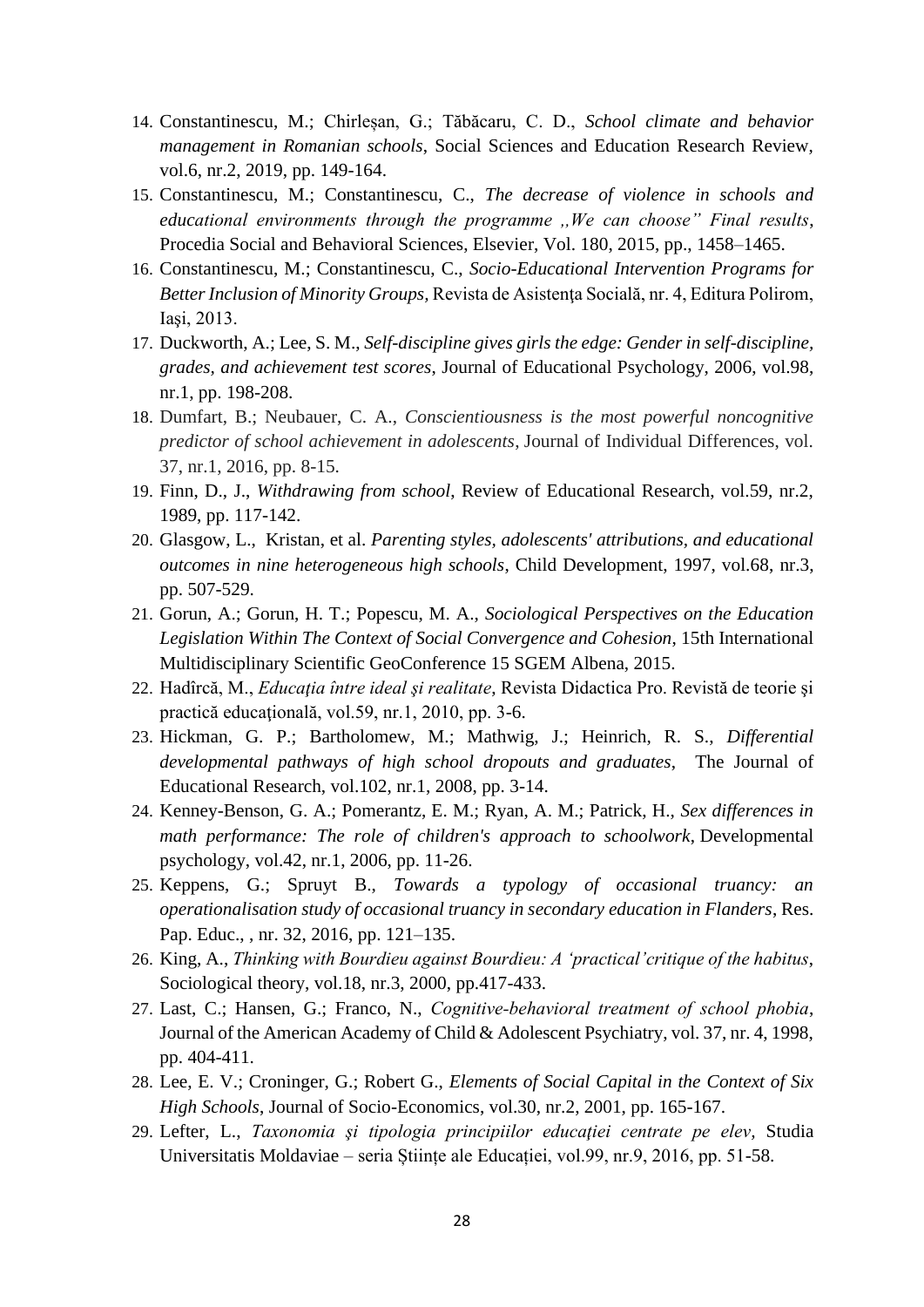- 14. Constantinescu, M.; Chirleșan, G.; Tăbăcaru, C. D., *School climate and behavior management in Romanian schools*, Social Sciences and Education Research Review, vol.6, nr.2, 2019, pp. 149-164.
- 15. Constantinescu, M.; Constantinescu, C., *The decrease of violence in schools and educational environments through the programme ,,We can choose" Final results*, Procedia Social and Behavioral Sciences, Elsevier, Vol. 180, 2015, pp., 1458–1465.
- 16. Constantinescu, M.; Constantinescu, C., *Socio-Educational Intervention Programs for Better Inclusion of Minority Groups,* Revista de Asistenţa Socială, nr. 4, Editura Polirom, Iaşi, 2013.
- 17. Duckworth, A.; Lee, S. M., *Self-discipline gives girls the edge: Gender in self-discipline, grades, and achievement test scores*, Journal of Educational Psychology, 2006, vol.98, nr.1, pp. 198-208.
- 18. Dumfart, B.; Neubauer, C. A., *Conscientiousness is the most powerful noncognitive predictor of school achievement in adolescents*, Journal of Individual Differences, vol. 37, nr.1, 2016, pp. 8-15.
- 19. Finn, D., J., *Withdrawing from school*, Review of Educational Research, vol.59, nr.2, 1989, pp. 117-142.
- 20. Glasgow, L., Kristan, et al. *Parenting styles, adolescents' attributions, and educational outcomes in nine heterogeneous high schools*, Child Development, 1997, vol.68, nr.3, pp. 507-529.
- 21. Gorun, A.; Gorun, H. T.; Popescu, M. A., *Sociological Perspectives on the Education Legislation Within The Context of Social Convergence and Cohesion*, 15th International Multidisciplinary Scientific GeoConference 15 SGEM Albena, 2015.
- 22. Hadîrcă, M., *Educaţia între ideal şi realitate*, Revista Didactica Pro. Revistă de teorie şi practică educaţională, vol.59, nr.1, 2010, pp. 3-6.
- 23. Hickman, G. P.; Bartholomew, M.; Mathwig, J.; Heinrich, R. S., *Differential developmental pathways of high school dropouts and graduates*, The Journal of Educational Research, vol.102, nr.1, 2008, pp. 3-14.
- 24. Kenney-Benson, G. A.; Pomerantz, E. M.; Ryan, A. M.; Patrick, H., *Sex differences in math performance: The role of children's approach to schoolwork*, Developmental psychology, vol.42, nr.1, 2006, pp. 11-26.
- 25. Keppens, G.; Spruyt B., *Towards a typology of occasional truancy: an operationalisation study of occasional truancy in secondary education in Flanders*, Res. Pap. Educ., , nr. 32, 2016, pp. 121–135.
- 26. King, A., *Thinking with Bourdieu against Bourdieu: A 'practical'critique of the habitus*, Sociological theory, vol.18, nr.3, 2000, pp.417-433.
- 27. Last, C.; Hansen, G.; Franco, N., *Cognitive‐behavioral treatment of school phobia*, Journal of the American Academy of Child & Adolescent Psychiatry, vol. 37, nr. 4, 1998, pp. 404-411.
- 28. Lee, E. V.; Croninger, G.; Robert G., *Elements of Social Capital in the Context of Six High Schools*, Journal of Socio-Economics, vol.30, nr.2, 2001, pp. 165-167.
- 29. Lefter, L., *Taxonomia şi tipologia principiilor educaţiei centrate pe elev,* Studia Universitatis Moldaviae – seria Științe ale Educației, vol.99, nr.9, 2016, pp. 51-58.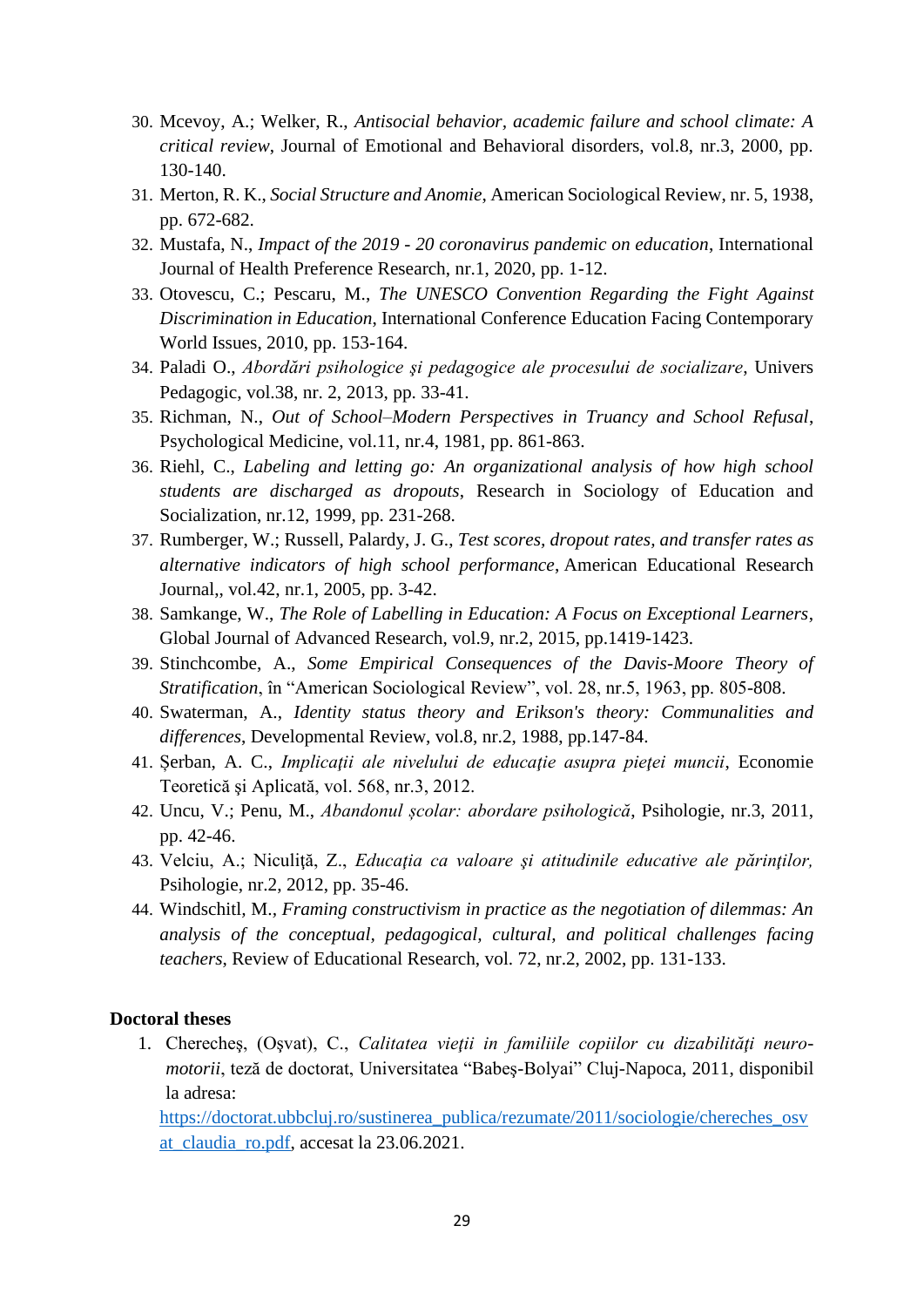- 30. Mcevoy, A.; Welker, R., *Antisocial behavior, academic failure and school climate: A critical review*, Journal of Emotional and Behavioral disorders, vol.8, nr.3, 2000, pp. 130-140.
- 31. Merton, R. K., *Social Structure and Anomie*, American Sociological Review, nr. 5, 1938, pp. 672-682.
- 32. Mustafa, N., *Impact of the 2019 - 20 coronavirus pandemic on education*, International Journal of Health Preference Research, nr.1, 2020, pp. 1-12.
- 33. Otovescu, C.; Pescaru, M., *The UNESCO Convention Regarding the Fight Against Discrimination in Education*, International Conference Education Facing Contemporary World Issues, 2010, pp. 153-164.
- 34. Paladi O., *Abordări psihologice şi pedagogice ale procesului de socializare*, Univers Pedagogic, vol.38, nr. 2, 2013, pp. 33-41.
- 35. Richman, N., *Out of School–Modern Perspectives in Truancy and School Refusal*, Psychological Medicine, vol.11, nr.4, 1981, pp. 861-863.
- 36. Riehl, C., *Labeling and letting go: An organizational analysis of how high school students are discharged as dropouts*, Research in Sociology of Education and Socialization, nr.12, 1999, pp. 231-268.
- 37. Rumberger, W.; Russell, Palardy, J. G., *Test scores, dropout rates, and transfer rates as alternative indicators of high school performance*, American Educational Research Journal,, vol.42, nr.1, 2005, pp. 3-42.
- 38. Samkange, W., *The Role of Labelling in Education: A Focus on Exceptional Learners*, Global Journal of Advanced Research, vol.9, nr.2, 2015, pp.1419-1423.
- 39. Stinchcombe, A., *Some Empirical Consequences of the Davis-Moore Theory of Stratification*, în "American Sociological Review", vol. 28, nr.5, 1963, pp. 805-808.
- 40. Swaterman, A., *Identity status theory and Erikson's theory: Communalities and differences*, Developmental Review, vol.8, nr.2, 1988, pp.147-84.
- 41. Șerban, A. C., *Implicaţii ale nivelului de educaţie asupra pieţei muncii*, Economie Teoretică şi Aplicată, vol. 568, nr.3, 2012.
- 42. Uncu, V.; Penu, M., *Abandonul școlar: abordare psihologică*, Psihologie, nr.3, 2011, pp. 42-46.
- 43. Velciu, A.; Niculiţă, Z., *Educaţia ca valoare şi atitudinile educative ale părinţilor,* Psihologie, nr.2, 2012, pp. 35-46.
- 44. Windschitl*,* M.*, Framing constructivism in practice as the negotiation of dilemmas: An analysis of the conceptual, pedagogical, cultural, and political challenges facing teachers*, Review of Educational Research, vol. 72, nr.2, 2002, pp. 131-133.

#### **Doctoral theses**

1. Cherecheş, (Oşvat), C., *Calitatea vieţii in familiile copiilor cu dizabilităţi neuromotorii*, teză de doctorat, Universitatea "Babeş-Bolyai" Cluj-Napoca, 2011, disponibil la adresa:

[https://doctorat.ubbcluj.ro/sustinerea\\_publica/rezumate/2011/sociologie/chereches\\_osv](https://doctorat.ubbcluj.ro/sustinerea_publica/rezumate/2011/sociologie/chereches_osvat_claudia_ro.pdf) [at\\_claudia\\_ro.pdf,](https://doctorat.ubbcluj.ro/sustinerea_publica/rezumate/2011/sociologie/chereches_osvat_claudia_ro.pdf) accesat la 23.06.2021.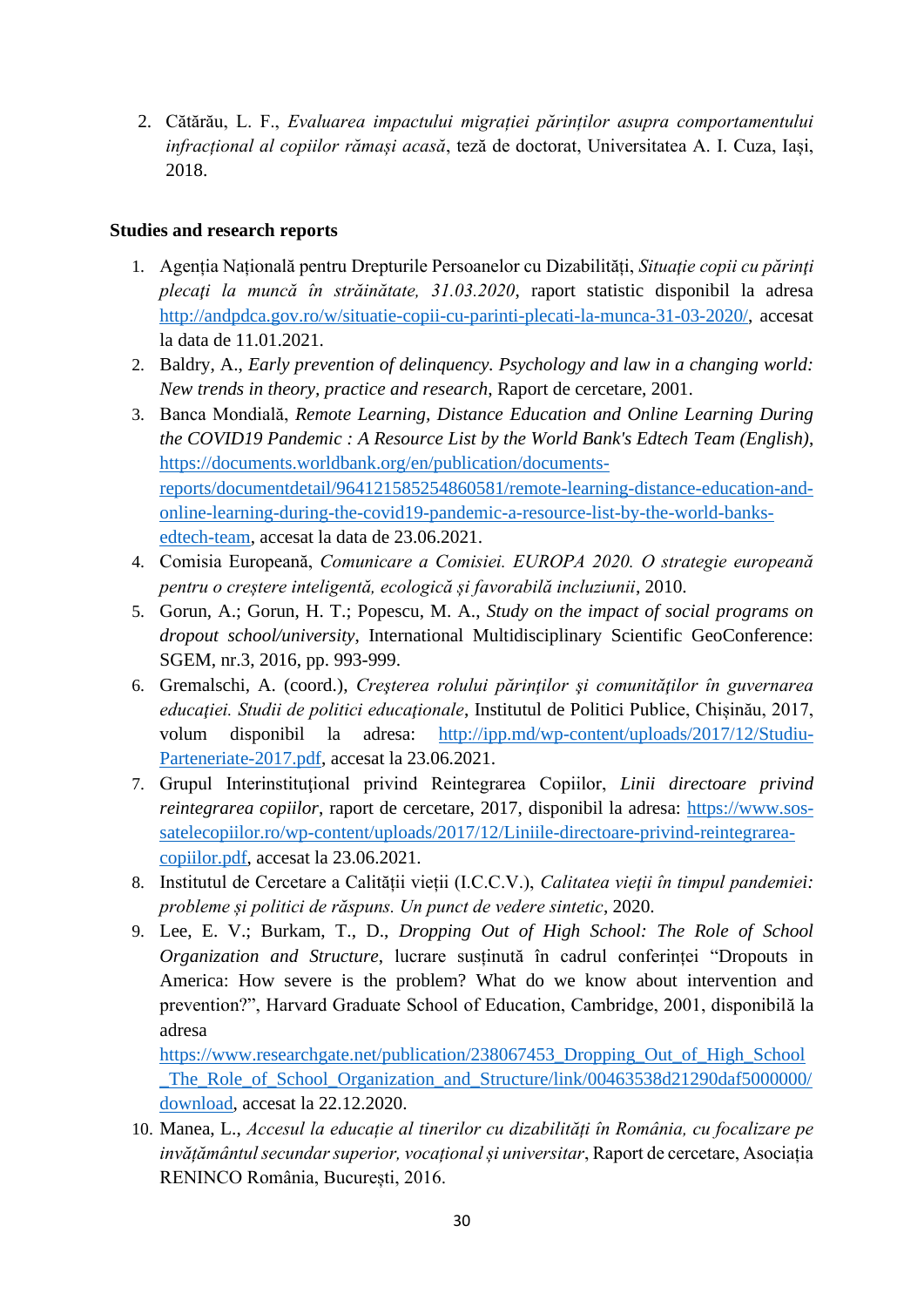2. Cătărău, L. F., *Evaluarea impactului migrației părinților asupra comportamentului infracțional al copiilor rămași acasă*, teză de doctorat, Universitatea A. I. Cuza, Iași, 2018.

#### **Studies and research reports**

- 1. Agenția Națională pentru Drepturile Persoanelor cu Dizabilități, *Situaţie copii cu părinţi plecaţi la muncă în străinătate, 31.03.2020*, raport statistic disponibil la adresa [http://andpdca.gov.ro/w/situatie-copii-cu-parinti-plecati-la-munca-31-03-2020/,](http://andpdca.gov.ro/w/situatie-copii-cu-parinti-plecati-la-munca-31-03-2020/) accesat la data de 11.01.2021.
- 2. Baldry, A., *Early prevention of delinquency. Psychology and law in a changing world: New trends in theory, practice and research*, Raport de cercetare, 2001.
- 3. Banca Mondială, *Remote Learning, Distance Education and Online Learning During the COVID19 Pandemic : A Resource List by the World Bank's Edtech Team (English)*, [https://documents.worldbank.org/en/publication/documents](https://documents.worldbank.org/en/publication/documents-reports/documentdetail/964121585254860581/remote-learning-distance-education-and-online-learning-during-the-covid19-pandemic-a-resource-list-by-the-world-banks-edtech-team)[reports/documentdetail/964121585254860581/remote-learning-distance-education-and](https://documents.worldbank.org/en/publication/documents-reports/documentdetail/964121585254860581/remote-learning-distance-education-and-online-learning-during-the-covid19-pandemic-a-resource-list-by-the-world-banks-edtech-team)[online-learning-during-the-covid19-pandemic-a-resource-list-by-the-world-banks](https://documents.worldbank.org/en/publication/documents-reports/documentdetail/964121585254860581/remote-learning-distance-education-and-online-learning-during-the-covid19-pandemic-a-resource-list-by-the-world-banks-edtech-team)[edtech-team,](https://documents.worldbank.org/en/publication/documents-reports/documentdetail/964121585254860581/remote-learning-distance-education-and-online-learning-during-the-covid19-pandemic-a-resource-list-by-the-world-banks-edtech-team) accesat la data de 23.06.2021.
- 4. Comisia Europeană, *Comunicare a Comisiei. EUROPA 2020. O strategie europeană pentru o creștere inteligentă, ecologică și favorabilă incluziunii*, 2010.
- 5. Gorun, A.; Gorun, H. T.; Popescu, M. A., *Study on the impact of social programs on dropout school/university*, International Multidisciplinary Scientific GeoConference: SGEM, nr.3, 2016, pp. 993-999.
- 6. Gremalschi, A. (coord.), *Creşterea rolului părinţilor şi comunităţilor în guvernarea*  educației. Studii de politici educaționale, Institutul de Politici Publice, Chișinău, 2017, volum disponibil la adresa: [http://ipp.md/wp-content/uploads/2017/12/Studiu-](http://ipp.md/wp-content/uploads/2017/12/Studiu-Parteneriate-2017.pdf)[Parteneriate-2017.pdf,](http://ipp.md/wp-content/uploads/2017/12/Studiu-Parteneriate-2017.pdf) accesat la 23.06.2021.
- 7. Grupul Interinstituţional privind Reintegrarea Copiilor, *Linii directoare privind reintegrarea copiilor*, raport de cercetare, 2017, disponibil la adresa: [https://www.sos](https://www.sos-satelecopiilor.ro/wp-content/uploads/2017/12/Liniile-directoare-privind-reintegrarea-copiilor.pdf)[satelecopiilor.ro/wp-content/uploads/2017/12/Liniile-directoare-privind-reintegrarea](https://www.sos-satelecopiilor.ro/wp-content/uploads/2017/12/Liniile-directoare-privind-reintegrarea-copiilor.pdf)[copiilor.pdf,](https://www.sos-satelecopiilor.ro/wp-content/uploads/2017/12/Liniile-directoare-privind-reintegrarea-copiilor.pdf) accesat la 23.06.2021.
- 8. Institutul de Cercetare a Calității vieții (I.C.C.V.), *Calitatea vieţii în timpul pandemiei: probleme și politici de răspuns. Un punct de vedere sintetic*, 2020.
- 9. Lee, E. V.; Burkam, T., D., *Dropping Out of High School: The Role of School Organization and Structure*, lucrare susținută în cadrul conferinței "Dropouts in America: How severe is the problem? What do we know about intervention and prevention?", Harvard Graduate School of Education, Cambridge, 2001, disponibilă la adresa

https://www.researchgate.net/publication/238067453 Dropping Out of High School The Role of School Organization and Structure/link/00463538d21290daf5000000/ [download,](https://www.researchgate.net/publication/238067453_Dropping_Out_of_High_School_The_Role_of_School_Organization_and_Structure/link/00463538d21290daf5000000/download) accesat la 22.12.2020.

10. Manea, L., *Accesul la educație al tinerilor cu dizabilități în România, cu focalizare pe invățământul secundar superior, vocațional și universitar*, Raport de cercetare, Asociația RENINCO România, București, 2016.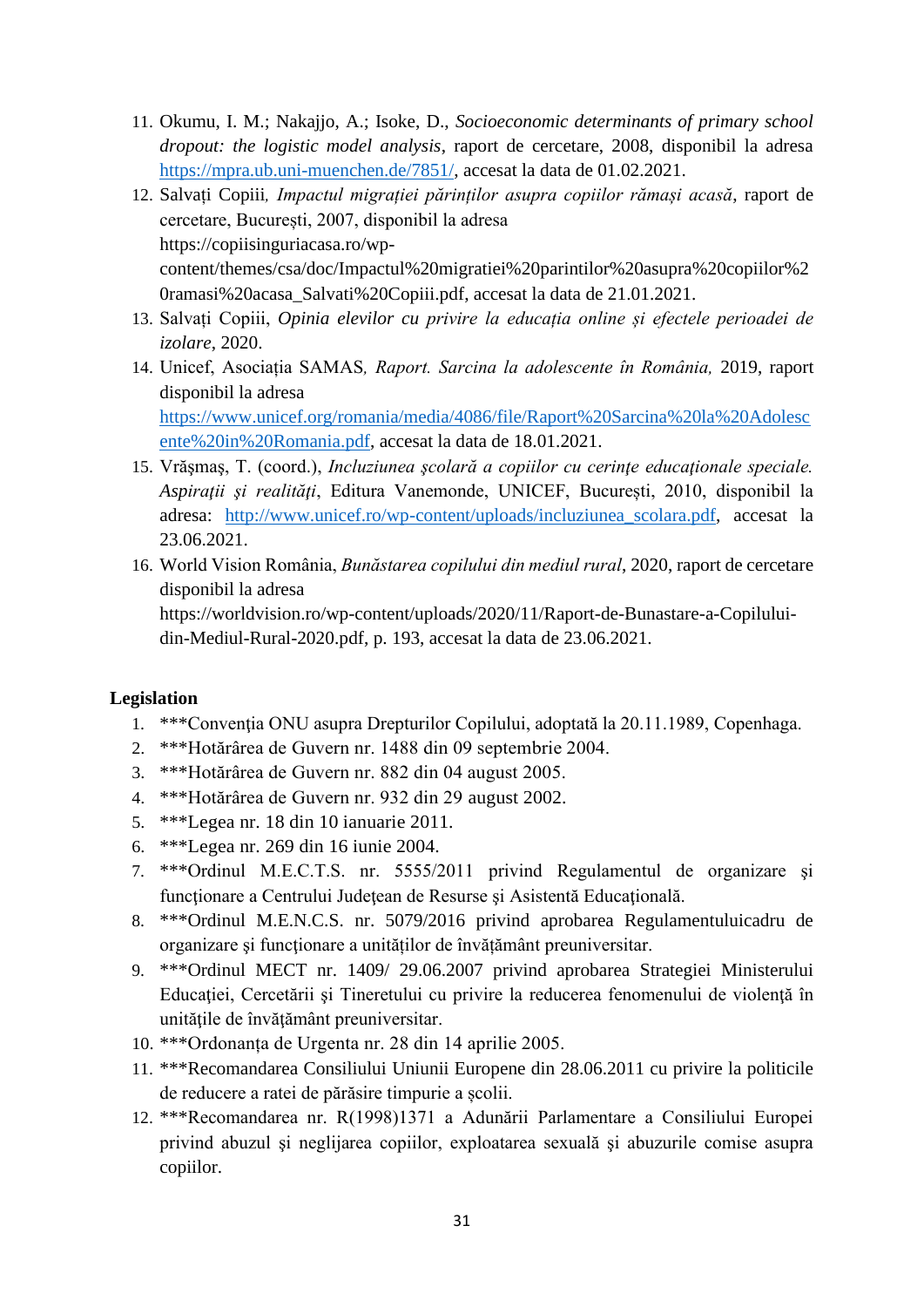- 11. Okumu, I. M.; Nakajjo, A.; Isoke, D., *Socioeconomic determinants of primary school dropout: the logistic model analysis*, raport de cercetare, 2008, disponibil la adresa [https://mpra.ub.uni-muenchen.de/7851/,](https://mpra.ub.uni-muenchen.de/7851/) accesat la data de 01.02.2021.
- 12. Salvați Copiii*, Impactul migrației părinților asupra copiilor rămași acasă*, raport de cercetare, București, 2007, disponibil la adresa [https://copiisinguriacasa.ro/wp](https://copiisinguriacasa.ro/wp-content/themes/csa/doc/Impactul%20migratiei%20parintilor%20asupra%20copiilor%20ramasi%20acasa_Salvati%20Copiii.pdf)[content/themes/csa/doc/Impactul%20migratiei%20parintilor%20asupra%20copiilor%2](https://copiisinguriacasa.ro/wp-content/themes/csa/doc/Impactul%20migratiei%20parintilor%20asupra%20copiilor%20ramasi%20acasa_Salvati%20Copiii.pdf) [0ramasi%20acasa\\_Salvati%20Copiii.pdf,](https://copiisinguriacasa.ro/wp-content/themes/csa/doc/Impactul%20migratiei%20parintilor%20asupra%20copiilor%20ramasi%20acasa_Salvati%20Copiii.pdf) accesat la data de 21.01.2021.
- 13. Salvați Copiii, *Opinia elevilor cu privire la educația online și efectele perioadei de izolare*, 2020.
- 14. Unicef, Asociația SAMAS*, Raport. Sarcina la adolescente în România,* 2019, raport disponibil la adresa [https://www.unicef.org/romania/media/4086/file/Raport%20Sarcina%20la%20Adolesc](https://www.unicef.org/romania/media/4086/file/Raport%20Sarcina%20la%20Adolescente%20in%20Romania.pdf)

[ente%20in%20Romania.pdf,](https://www.unicef.org/romania/media/4086/file/Raport%20Sarcina%20la%20Adolescente%20in%20Romania.pdf) accesat la data de 18.01.2021.

- 15. Vrăşmaş, T. (coord.), *Incluziunea şcolară a copiilor cu cerinţe educaţionale speciale. Aspiraţii şi realităţi*, Editura Vanemonde, UNICEF, București, 2010, disponibil la adresa: [http://www.unicef.ro/wp-content/uploads/incluziunea\\_scolara.pdf,](http://www.unicef.ro/wp-content/uploads/incluziunea_scolara.pdf) accesat la 23.06.2021.
- 16. World Vision România, *Bunăstarea copilului din mediul rural*, 2020, raport de cercetare disponibil la adresa

[https://worldvision.ro/wp-content/uploads/2020/11/Raport-de-Bunastare-a-Copilului](https://worldvision.ro/wp-content/uploads/2020/11/Raport-de-Bunastare-a-Copilului-din-Mediul-Rural-2020.pdf)[din-Mediul-Rural-2020.pdf,](https://worldvision.ro/wp-content/uploads/2020/11/Raport-de-Bunastare-a-Copilului-din-Mediul-Rural-2020.pdf) p. 193, accesat la data de 23.06.2021.

#### **Legislation**

- 1. \*\*\*Convenţia ONU asupra Drepturilor Copilului, adoptată la 20.11.1989, Copenhaga.
- 2. \*\*\*Hotărârea de Guvern nr. 1488 din 09 septembrie 2004.
- 3. \*\*\*Hotărârea de Guvern nr. 882 din 04 august 2005.
- 4. \*\*\*Hotărârea de Guvern nr. 932 din 29 august 2002.
- 5. \*\*\*Legea nr. 18 din 10 ianuarie 2011.
- 6. \*\*\*Legea nr. 269 din 16 iunie 2004.
- 7. \*\*\*Ordinul M.E.C.T.S. nr. 5555/2011 privind Regulamentul de organizare şi funcționare a Centrului Județean de Resurse și Asistentă Educațională.
- 8. \*\*\*Ordinul M.E.N.C.S. nr. 5079/2016 privind aprobarea Regulamentuluicadru de organizare și functionare a unităților de învățământ preuniversitar.
- 9. \*\*\*Ordinul MECT nr. 1409/ 29.06.2007 privind aprobarea Strategiei Ministerului Educației, Cercetării și Tineretului cu privire la reducerea fenomenului de violență în unitățile de învățământ preuniversitar.
- 10. \*\*\*Ordonanța de Urgenta nr. 28 din 14 aprilie 2005.
- 11. \*\*\*Recomandarea Consiliului Uniunii Europene din 28.06.2011 cu privire la politicile de reducere a ratei de părăsire timpurie a școlii.
- 12. \*\*\*Recomandarea nr. R(1998)1371 a Adunării Parlamentare a Consiliului Europei privind abuzul şi neglijarea copiilor, exploatarea sexuală şi abuzurile comise asupra copiilor.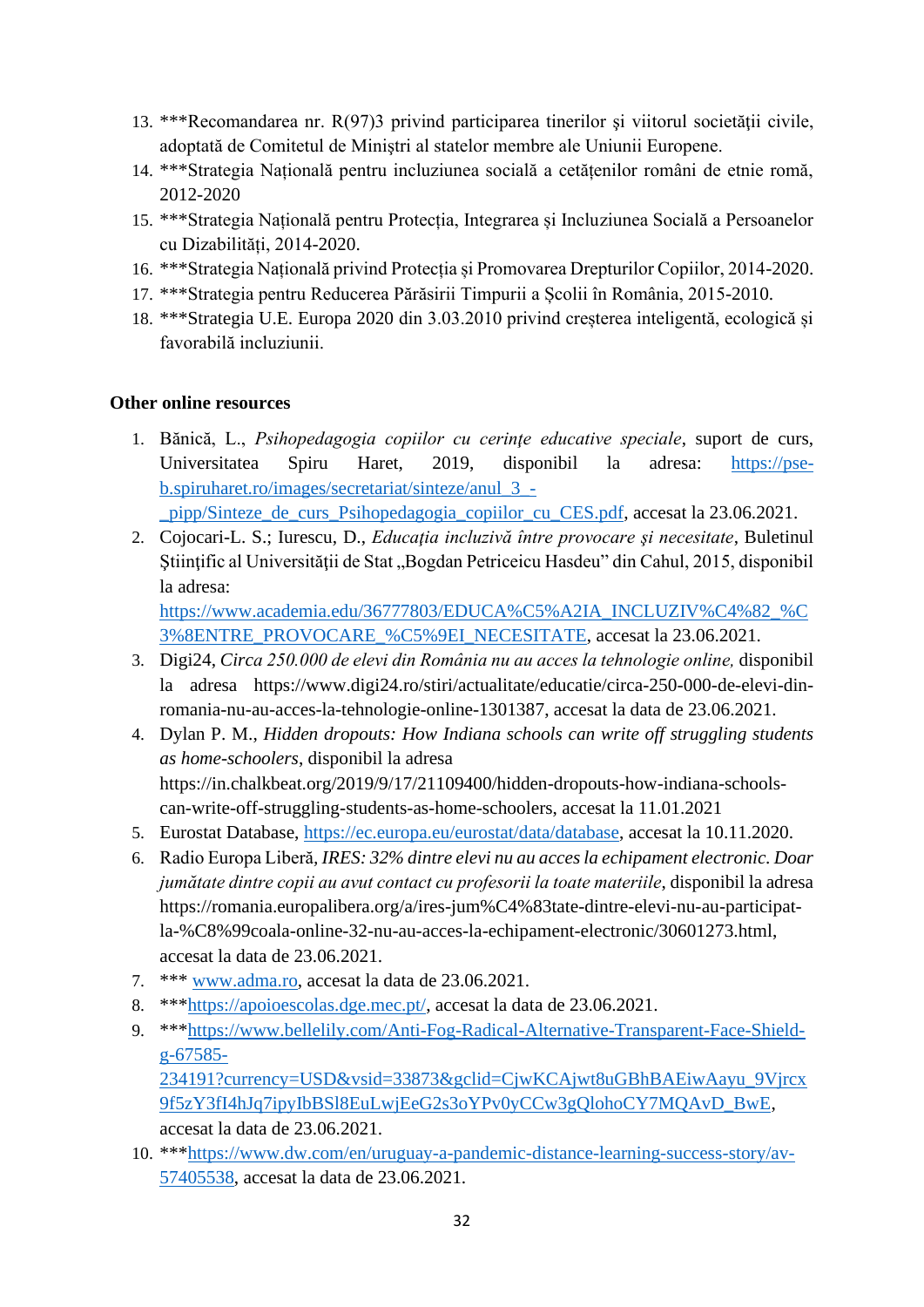- 13. \*\*\*Recomandarea nr. R(97)3 privind participarea tinerilor şi viitorul societăţii civile, adoptată de Comitetul de Miniştri al statelor membre ale Uniunii Europene.
- 14. \*\*\*Strategia Națională pentru incluziunea socială a cetățenilor români de etnie romă, 2012-2020
- 15. \*\*\*Strategia Națională pentru Protecția, Integrarea și Incluziunea Socială a Persoanelor cu Dizabilități, 2014-2020.
- 16. \*\*\*Strategia Națională privind Protecția și Promovarea Drepturilor Copiilor, 2014-2020.
- 17. \*\*\*Strategia pentru Reducerea Părăsirii Timpurii a Școlii în România, 2015-2010.
- 18. \*\*\*Strategia U.E. Europa 2020 din 3.03.2010 privind creșterea inteligentă, ecologică și favorabilă incluziunii.

#### **Other online resources**

1. Bănică, L., *Psihopedagogia copiilor cu cerinţe educative speciale*, suport de curs, Universitatea Spiru Haret, 2019, disponibil la adresa: [https://pse](https://pse-b.spiruharet.ro/images/secretariat/sinteze/anul_3_-_pipp/Sinteze_de_curs_Psihopedagogia_copiilor_cu_CES.pdf)[b.spiruharet.ro/images/secretariat/sinteze/anul\\_3\\_-](https://pse-b.spiruharet.ro/images/secretariat/sinteze/anul_3_-_pipp/Sinteze_de_curs_Psihopedagogia_copiilor_cu_CES.pdf)

[\\_pipp/Sinteze\\_de\\_curs\\_Psihopedagogia\\_copiilor\\_cu\\_CES.pdf,](https://pse-b.spiruharet.ro/images/secretariat/sinteze/anul_3_-_pipp/Sinteze_de_curs_Psihopedagogia_copiilor_cu_CES.pdf) accesat la 23.06.2021.

2. Cojocari-L. S.; Iurescu, D., *Educaţia incluzivă între provocare şi necesitate*, Buletinul Stiințific al Universității de Stat "Bogdan Petriceicu Hasdeu" din Cahul, 2015, disponibil la adresa:

[https://www.academia.edu/36777803/EDUCA%C5%A2IA\\_INCLUZIV%C4%82\\_%C](https://www.academia.edu/36777803/EDUCA%C5%A2IA_INCLUZIV%C4%82_%C3%8ENTRE_PROVOCARE_%C5%9EI_NECESITATE) [3%8ENTRE\\_PROVOCARE\\_%C5%9EI\\_NECESITATE,](https://www.academia.edu/36777803/EDUCA%C5%A2IA_INCLUZIV%C4%82_%C3%8ENTRE_PROVOCARE_%C5%9EI_NECESITATE) accesat la 23.06.2021.

- 3. Digi24, *Circa 250.000 de elevi din România nu au acces la tehnologie online,* disponibil la adresa [https://www.digi24.ro/stiri/actualitate/educatie/circa-250-000-de-elevi-din](https://www.digi24.ro/stiri/actualitate/educatie/circa-250-000-de-elevi-din-romania-nu-au-acces-la-tehnologie-online-1301387)[romania-nu-au-acces-la-tehnologie-online-1301387,](https://www.digi24.ro/stiri/actualitate/educatie/circa-250-000-de-elevi-din-romania-nu-au-acces-la-tehnologie-online-1301387) accesat la data de 23.06.2021.
- 4. Dylan P. M., *Hidden dropouts: How Indiana schools can write off struggling students as home-schoolers*, disponibil la adresa [https://in.chalkbeat.org/2019/9/17/21109400/hidden-dropouts-how-indiana-schools](https://in.chalkbeat.org/2019/9/17/21109400/hidden-dropouts-how-indiana-schools-can-write-off-struggling-students-as-home-schoolers)[can-write-off-struggling-students-as-home-schoolers,](https://in.chalkbeat.org/2019/9/17/21109400/hidden-dropouts-how-indiana-schools-can-write-off-struggling-students-as-home-schoolers) accesat la 11.01.2021
- 5. Eurostat Database, [https://ec.europa.eu/eurostat/data/database,](https://ec.europa.eu/eurostat/data/database) accesat la 10.11.2020.
- 6. Radio Europa Liberă*, IRES: 32% dintre elevi nu au acces la echipament electronic. Doar jumătate dintre copii au avut contact cu profesorii la toate materiile*, disponibil la adresa [https://romania.europalibera.org/a/ires-jum%C4%83tate-dintre-elevi-nu-au-participat](https://romania.europalibera.org/a/ires-jum%C4%83tate-dintre-elevi-nu-au-participat-la-%C8%99coala-online-32-nu-au-acces-la-echipament-electronic/30601273.html)[la-%C8%99coala-online-32-nu-au-acces-la-echipament-electronic/30601273.html,](https://romania.europalibera.org/a/ires-jum%C4%83tate-dintre-elevi-nu-au-participat-la-%C8%99coala-online-32-nu-au-acces-la-echipament-electronic/30601273.html) accesat la data de 23.06.2021.
- 7. \*\*\* [www.adma.ro,](http://www.adma.ro/) accesat la data de 23.06.2021.
- 8. \*\*[\\*https://apoioescolas.dge.mec.pt/,](https://apoioescolas.dge.mec.pt/) accesat la data de 23.06.2021.
- 9. \*\*[\\*https://www.bellelily.com/Anti-Fog-Radical-Alternative-Transparent-Face-Shield](https://www.bellelily.com/Anti-Fog-Radical-Alternative-Transparent-Face-Shield-g-67585-234191?currency=USD&vsid=33873&gclid=CjwKCAjwt8uGBhBAEiwAayu_9Vjrcx9f5zY3fI4hJq7ipyIbBSl8EuLwjEeG2s3oYPv0yCCw3gQlohoCY7MQAvD_BwE)[g-67585-](https://www.bellelily.com/Anti-Fog-Radical-Alternative-Transparent-Face-Shield-g-67585-234191?currency=USD&vsid=33873&gclid=CjwKCAjwt8uGBhBAEiwAayu_9Vjrcx9f5zY3fI4hJq7ipyIbBSl8EuLwjEeG2s3oYPv0yCCw3gQlohoCY7MQAvD_BwE) [234191?currency=USD&vsid=33873&gclid=CjwKCAjwt8uGBhBAEiwAayu\\_9Vjrcx](https://www.bellelily.com/Anti-Fog-Radical-Alternative-Transparent-Face-Shield-g-67585-234191?currency=USD&vsid=33873&gclid=CjwKCAjwt8uGBhBAEiwAayu_9Vjrcx9f5zY3fI4hJq7ipyIbBSl8EuLwjEeG2s3oYPv0yCCw3gQlohoCY7MQAvD_BwE) [9f5zY3fI4hJq7ipyIbBSl8EuLwjEeG2s3oYPv0yCCw3gQlohoCY7MQAvD\\_BwE,](https://www.bellelily.com/Anti-Fog-Radical-Alternative-Transparent-Face-Shield-g-67585-234191?currency=USD&vsid=33873&gclid=CjwKCAjwt8uGBhBAEiwAayu_9Vjrcx9f5zY3fI4hJq7ipyIbBSl8EuLwjEeG2s3oYPv0yCCw3gQlohoCY7MQAvD_BwE) accesat la data de 23.06.2021.
- 10. \*\*[\\*https://www.dw.com/en/uruguay-a-pandemic-distance-learning-success-story/av-](https://www.dw.com/en/uruguay-a-pandemic-distance-learning-success-story/av-57405538)[57405538,](https://www.dw.com/en/uruguay-a-pandemic-distance-learning-success-story/av-57405538) accesat la data de 23.06.2021.